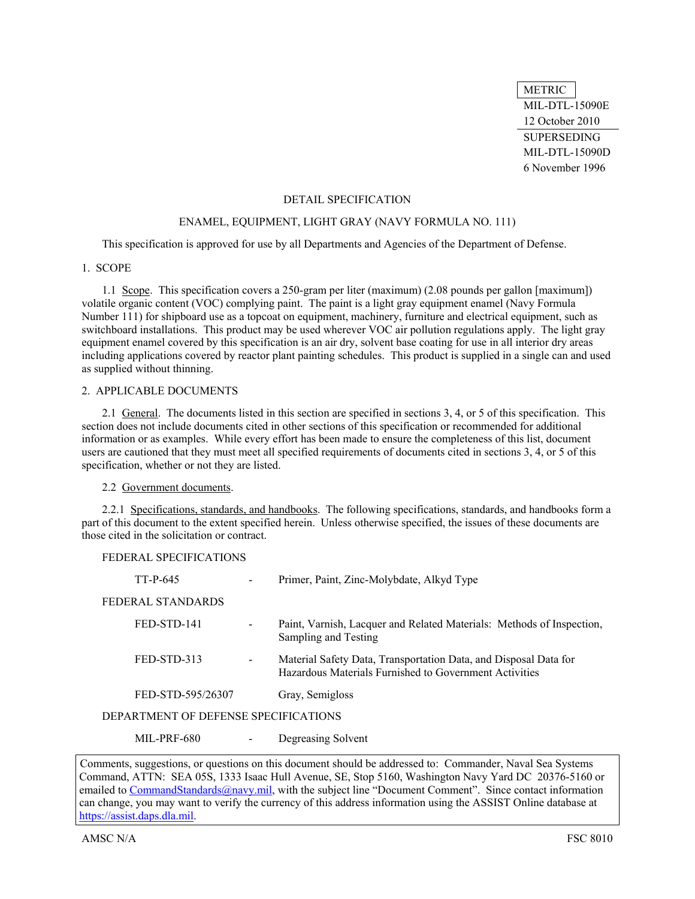METRIC MIL-DTL-15090E 12 October 2010 SUPERSEDING MIL-DTL-15090D 6 November 1996

### DETAIL SPECIFICATION

#### ENAMEL, EQUIPMENT, LIGHT GRAY (NAVY FORMULA NO. 111)

This specification is approved for use by all Departments and Agencies of the Department of Defense.

# 1. SCOPE

<span id="page-0-0"></span>1.1 Scope. This specification covers a 250-gram per liter (maximum) (2.08 pounds per gallon [maximum]) volatile organic content (VOC) complying paint. The paint is a light gray equipment enamel (Navy Formula Number 111) for shipboard use as a topcoat on equipment, machinery, furniture and electrical equipment, such as switchboard installations. This product may be used wherever VOC air pollution regulations apply. The light gray equipment enamel covered by this specification is an air dry, solvent base coating for use in all interior dry areas including applications covered by reactor plant painting schedules. This product is supplied in a single can and used as supplied without thinning.

#### 2. APPLICABLE DOCUMENTS

2.1 General. The documents listed in this section are specified in sections 3, 4, or 5 of this specification. This section does not include documents cited in other sections of this specification or recommended for additional information or as examples. While every effort has been made to ensure the completeness of this list, document users are cautioned that they must meet all specified requirements of documents cited in sections 3, 4, or 5 of this specification, whether or not they are listed.

# 2.2 Government documents.

<span id="page-0-1"></span>2.2.1 Specifications, standards, and handbooks. The following specifications, standards, and handbooks form a part of this document to the extent specified herein. Unless otherwise specified, the issues of these documents are those cited in the solicitation or contract.

#### FEDERAL SPECIFICATIONS

| TT-P-645                             |   | Primer, Paint, Zinc-Molybdate, Alkyd Type                                                                                  |
|--------------------------------------|---|----------------------------------------------------------------------------------------------------------------------------|
| FEDERAL STANDARDS                    |   |                                                                                                                            |
| FED-STD-141                          | - | Paint, Varnish, Lacquer and Related Materials: Methods of Inspection,<br>Sampling and Testing                              |
| FED-STD-313                          |   | Material Safety Data, Transportation Data, and Disposal Data for<br>Hazardous Materials Furnished to Government Activities |
| FED-STD-595/26307                    |   | Gray, Semigloss                                                                                                            |
| DEPARTMENT OF DEFENSE SPECIFICATIONS |   |                                                                                                                            |
| <b>MIL-PRF-680</b>                   |   | Degreasing Solvent                                                                                                         |

Comments, suggestions, or questions on this document should be addressed to: Commander, Naval Sea Systems Command, ATTN: SEA 05S, 1333 Isaac Hull Avenue, SE, Stop 5160, Washington Navy Yard DC 20376-5160 or emailed to CommandStandards@navy.mil, with the subject line "Document Comment". Since contact information can change, you may want to verify the currency of this address information using the ASSIST Online database at https://assist.daps.dla.mil.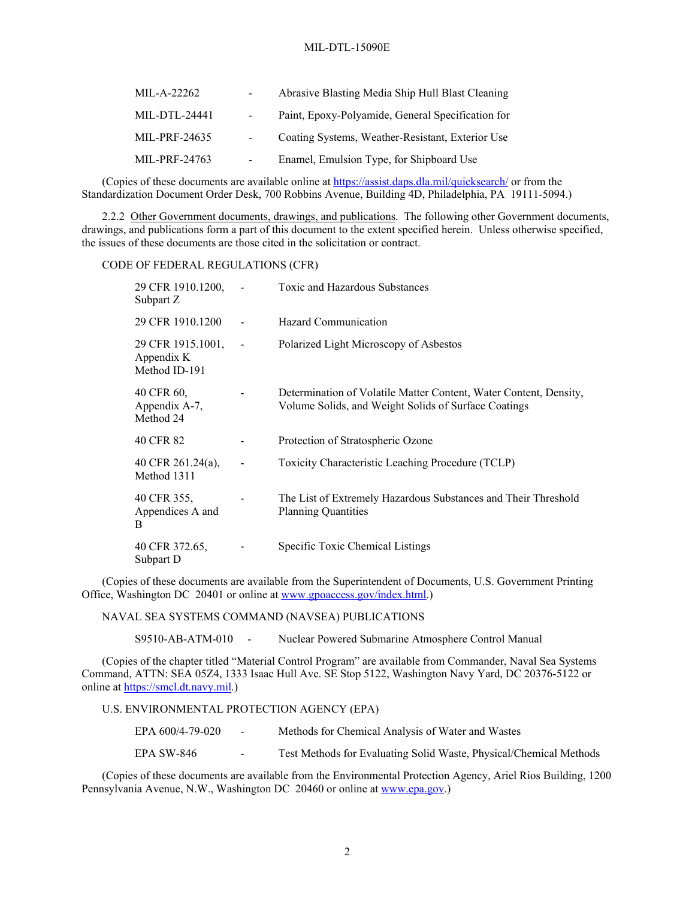| MIL-A-22262   | $\sim$ 10 $\pm$ | Abrasive Blasting Media Ship Hull Blast Cleaning  |
|---------------|-----------------|---------------------------------------------------|
| MIL-DTL-24441 | $\sim$ $-$      | Paint, Epoxy-Polyamide, General Specification for |
| MIL-PRF-24635 | $\sim 100$      | Coating Systems, Weather-Resistant, Exterior Use  |
| MIL-PRF-24763 | $\blacksquare$  | Enamel, Emulsion Type, for Shipboard Use          |

(Copies of these documents are available online at <https://assist.daps.dla.mil/quicksearch/>or from the Standardization Document Order Desk, 700 Robbins Avenue, Building 4D, Philadelphia, PA 19111-5094.)

<span id="page-1-0"></span>2.2.2 Other Government documents, drawings, and publications. The following other Government documents, drawings, and publications form a part of this document to the extent specified herein. Unless otherwise specified, the issues of these documents are those cited in the solicitation or contract.

### CODE OF FEDERAL REGULATIONS (CFR)

| 29 CFR 1910.1200,<br>Subpart Z                   | $\sim$ | Toxic and Hazardous Substances                                                                                            |
|--------------------------------------------------|--------|---------------------------------------------------------------------------------------------------------------------------|
| 29 CFR 1910.1200                                 |        | Hazard Communication                                                                                                      |
| 29 CFR 1915.1001,<br>Appendix K<br>Method ID-191 |        | Polarized Light Microscopy of Asbestos                                                                                    |
| 40 CFR 60.<br>Appendix A-7,<br>Method 24         |        | Determination of Volatile Matter Content, Water Content, Density,<br>Volume Solids, and Weight Solids of Surface Coatings |
| 40 CFR 82                                        |        | Protection of Stratospheric Ozone                                                                                         |
| 40 CFR 261.24(a),<br>Method 1311                 |        | Toxicity Characteristic Leaching Procedure (TCLP)                                                                         |
| 40 CFR 355,<br>Appendices A and<br>B             |        | The List of Extremely Hazardous Substances and Their Threshold<br><b>Planning Quantities</b>                              |
| 40 CFR 372.65,<br>Subpart D                      |        | Specific Toxic Chemical Listings                                                                                          |

(Copies of these documents are available from the Superintendent of Documents, U.S. Government Printing Office, Washington DC 20401 or online at [www.gpoaccess.gov/index.html.](http://www.gpoaccess.gov/index.html))

NAVAL SEA SYSTEMS COMMAND (NAVSEA) PUBLICATIONS

S9510-AB-ATM-010 - Nuclear Powered Submarine Atmosphere Control Manual

(Copies of the chapter titled "Material Control Program" are available from Commander, Naval Sea Systems Command, ATTN: SEA 05Z4, 1333 Isaac Hull Ave. SE Stop 5122, Washington Navy Yard, DC 20376-5122 or online at [https://smcl.dt.navy.mil.](https://smcl.dt.navy.mil/))

#### U.S. ENVIRONMENTAL PROTECTION AGENCY (EPA)

| EPA 600/4-79-020 | $\sim$ | Methods for Chemical Analysis of Water and Wastes                  |
|------------------|--------|--------------------------------------------------------------------|
| EPA SW-846       | $\sim$ | Test Methods for Evaluating Solid Waste, Physical/Chemical Methods |

(Copies of these documents are available from the Environmental Protection Agency, Ariel Rios Building, 1200 Pennsylvania Avenue, N.W., Washington DC 20460 or online at [www.epa.gov](http://library.niehs.nih.gov/).)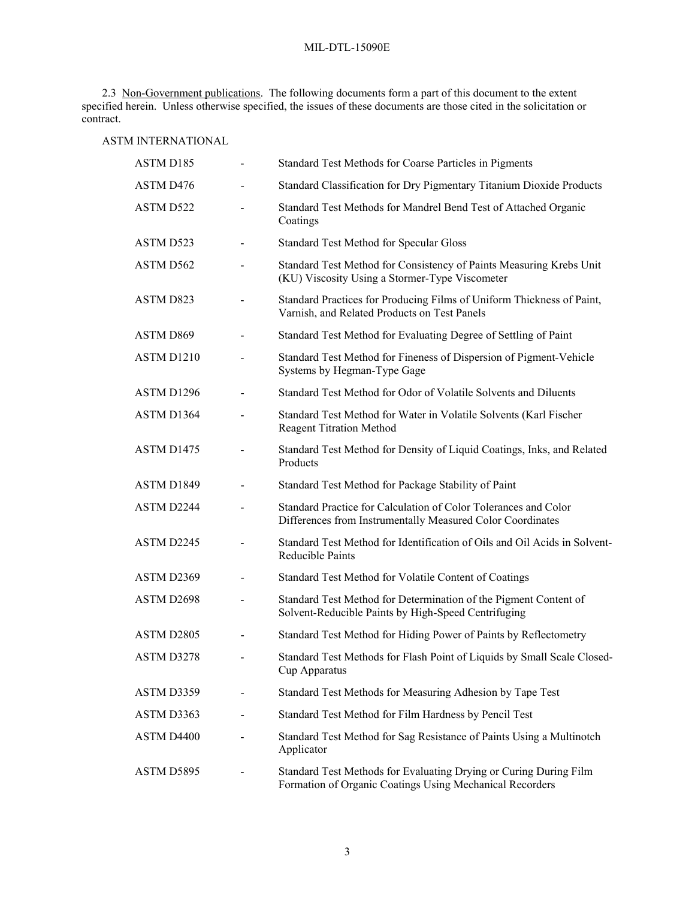<span id="page-2-0"></span>2.3 Non-Government publications. The following documents form a part of this document to the extent specified herein. Unless otherwise specified, the issues of these documents are those cited in the solicitation or contract.

# ASTM INTERNATIONAL

| ASTM D185              |                          | Standard Test Methods for Coarse Particles in Pigments                                                                        |
|------------------------|--------------------------|-------------------------------------------------------------------------------------------------------------------------------|
| ASTM D476              |                          | Standard Classification for Dry Pigmentary Titanium Dioxide Products                                                          |
| ASTM D522              |                          | Standard Test Methods for Mandrel Bend Test of Attached Organic<br>Coatings                                                   |
| ASTM D523              |                          | Standard Test Method for Specular Gloss                                                                                       |
| ASTM D562              |                          | Standard Test Method for Consistency of Paints Measuring Krebs Unit<br>(KU) Viscosity Using a Stormer-Type Viscometer         |
| ASTM D823              |                          | Standard Practices for Producing Films of Uniform Thickness of Paint,<br>Varnish, and Related Products on Test Panels         |
| ASTM D869              |                          | Standard Test Method for Evaluating Degree of Settling of Paint                                                               |
| ASTM D <sub>1210</sub> |                          | Standard Test Method for Fineness of Dispersion of Pigment-Vehicle<br>Systems by Hegman-Type Gage                             |
| ASTM D1296             |                          | Standard Test Method for Odor of Volatile Solvents and Diluents                                                               |
| ASTM D1364             |                          | Standard Test Method for Water in Volatile Solvents (Karl Fischer<br><b>Reagent Titration Method</b>                          |
| ASTM D1475             |                          | Standard Test Method for Density of Liquid Coatings, Inks, and Related<br>Products                                            |
| ASTM D1849             |                          | Standard Test Method for Package Stability of Paint                                                                           |
| ASTM D2244             |                          | Standard Practice for Calculation of Color Tolerances and Color<br>Differences from Instrumentally Measured Color Coordinates |
| ASTM D2245             |                          | Standard Test Method for Identification of Oils and Oil Acids in Solvent-<br><b>Reducible Paints</b>                          |
| ASTM D2369             |                          | Standard Test Method for Volatile Content of Coatings                                                                         |
| ASTM D2698             |                          | Standard Test Method for Determination of the Pigment Content of<br>Solvent-Reducible Paints by High-Speed Centrifuging       |
| ASTM D2805             |                          | Standard Test Method for Hiding Power of Paints by Reflectometry                                                              |
| ASTM D3278             | $\overline{\phantom{0}}$ | Standard Test Methods for Flash Point of Liquids by Small Scale Closed-<br>Cup Apparatus                                      |
| ASTM D3359             |                          | Standard Test Methods for Measuring Adhesion by Tape Test                                                                     |
| ASTM D3363             |                          | Standard Test Method for Film Hardness by Pencil Test                                                                         |
| ASTM D4400             |                          | Standard Test Method for Sag Resistance of Paints Using a Multinotch<br>Applicator                                            |
| ASTM D5895             |                          | Standard Test Methods for Evaluating Drying or Curing During Film<br>Formation of Organic Coatings Using Mechanical Recorders |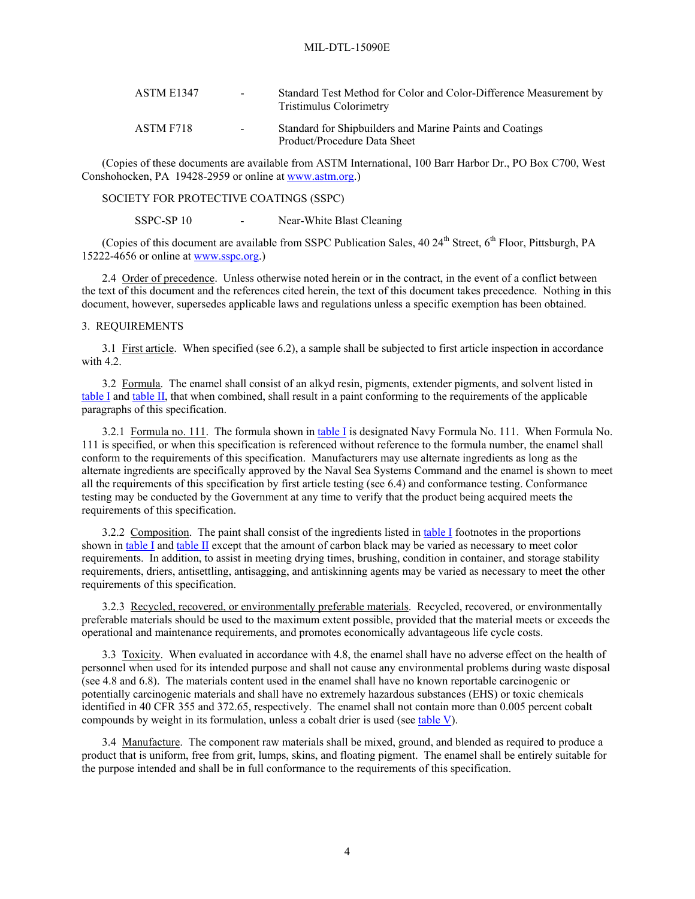| ASTM E1347 | $\sim 100$ | Standard Test Method for Color and Color-Difference Measurement by<br>Tristimulus Colorimetry |
|------------|------------|-----------------------------------------------------------------------------------------------|
| ASTM F718  | $\sim$     | Standard for Shipbuilders and Marine Paints and Coatings<br>Product/Procedure Data Sheet      |

(Copies of these documents are available from ASTM International, 100 Barr Harbor Dr., PO Box C700, West Conshohocken, PA 19428-2959 or online at [www.astm.org](http://www.astm.org/).)

SOCIETY FOR PROTECTIVE COATINGS (SSPC)

SSPC-SP 10 - Near-White Blast Cleaning

(Copies of this document are available from SSPC Publication Sales, 40 24<sup>th</sup> Street, 6<sup>th</sup> Floor, Pittsburgh, PA 15222-4656 or online at [www.sspc.org](http://www.sspc.org/).)

2.4 Order of precedence. Unless otherwise noted herein or in the contract, in the event of a conflict between the text of this document and the references cited herein, the text of this document takes precedence. Nothing in this document, however, supersedes applicable laws and regulations unless a specific exemption has been obtained.

### 3. REQUIREMENTS

<span id="page-3-1"></span>3.1 First article. When specified (see [6.2\)](#page-15-0), a sample shall be subjected to first article inspection in accordance with [4.2.](#page-9-0)

<span id="page-3-2"></span>3.2 Formula. The enamel shall consist of an alkyd resin, pigments, extender pigments, and solvent listed in [table I](#page-4-0) and [table II](#page-5-0), that when combined, shall result in a paint conforming to the requirements of the applicable paragraphs of this specification.

3.2.1 Formula no. 111. The formula shown in [table I](#page-4-0) is designated Navy Formula No. 111. When Formula No. 111 is specified, or when this specification is referenced without reference to the formula number, the enamel shall conform to the requirements of this specification. Manufacturers may use alternate ingredients as long as the alternate ingredients are specifically approved by the Naval Sea Systems Command and the enamel is shown to meet all the requirements of this specification by first article testing (see 6.4) and conformance testing. Conformance testing may be conducted by the Government at any time to verify that the product being acquired meets the requirements of this specification.

3.2.2 Composition. The paint shall consist of the ingredients listed in [table I](#page-4-0) footnotes in the proportions shown in [table I](#page-4-0) and [table II](#page-5-0) except that the amount of carbon black may be varied as necessary to meet color requirements. In addition, to assist in meeting drying times, brushing, condition in container, and storage stability requirements, driers, antisettling, antisagging, and antiskinning agents may be varied as necessary to meet the other requirements of this specification.

3.2.3 Recycled, recovered, or environmentally preferable materials. Recycled, recovered, or environmentally preferable materials should be used to the maximum extent possible, provided that the material meets or exceeds the operational and maintenance requirements, and promotes economically advantageous life cycle costs.

<span id="page-3-0"></span>3.3 Toxicity. When evaluated in accordance with [4.8,](#page-14-0) the enamel shall have no adverse effect on the health of personnel when used for its intended purpose and shall not cause any environmental problems during waste disposal (see [4.8](#page-14-0) and [6.8](#page-16-0)). The materials content used in the enamel shall have no known reportable carcinogenic or potentially carcinogenic materials and shall have no extremely hazardous substances (EHS) or toxic chemicals identified in 40 CFR 355 and 372.65, respectively. The enamel shall not contain more than 0.005 percent cobalt compounds by weight in its formulation, unless a cobalt drier is used (see [table V\)](#page-7-0).

3.4 Manufacture. The component raw materials shall be mixed, ground, and blended as required to produce a product that is uniform, free from grit, lumps, skins, and floating pigment. The enamel shall be entirely suitable for the purpose intended and shall be in full conformance to the requirements of this specification.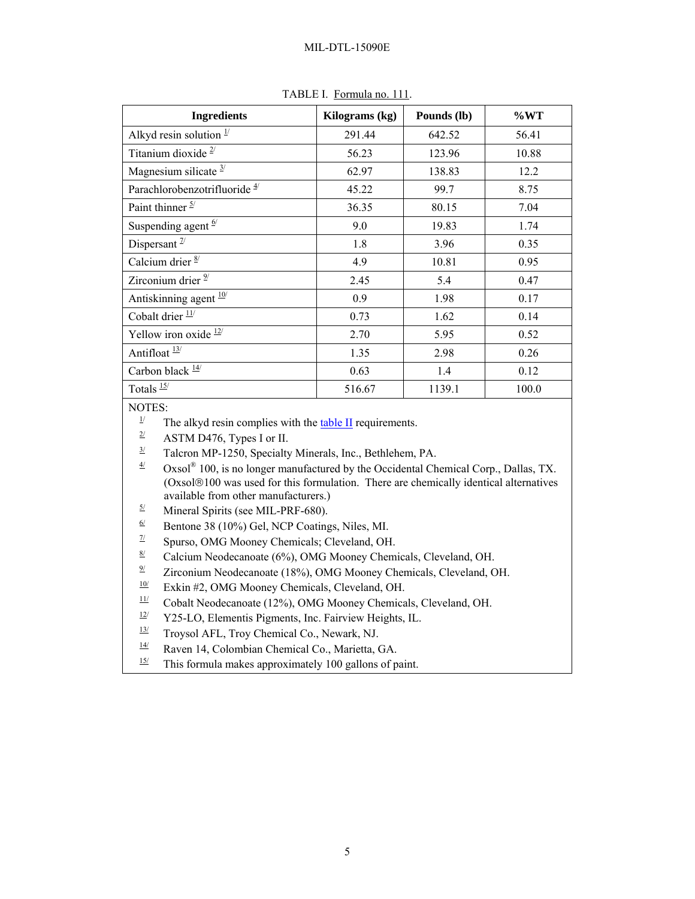<span id="page-4-0"></span>

| <b>Ingredients</b>                       | Kilograms (kg) | Pounds (lb) | $\%WT$ |
|------------------------------------------|----------------|-------------|--------|
| Alkyd resin solution $\frac{1}{2}$       | 291.44         | 642.52      | 56.41  |
| Titanium dioxide $2/$                    | 56.23          | 123.96      | 10.88  |
| Magnesium silicate $3/$                  | 62.97          | 138.83      | 12.2   |
| Parachlorobenzotrifluoride <sup>4/</sup> | 45.22          | 99.7        | 8.75   |
| Paint thinner $\frac{5}{ }$              | 36.35          | 80.15       | 7.04   |
| Suspending agent $\frac{6}{ }$           | 9.0            | 19.83       | 1.74   |
| Dispersant $\frac{7}{2}$                 | 1.8            | 3.96        | 0.35   |
| Calcium drier $\frac{8}{ }$              | 4.9            | 10.81       | 0.95   |
| Zirconium drier $2$                      | 2.45           | 5.4         | 0.47   |
| Antiskinning agent <sup>10/</sup>        | 0.9            | 1.98        | 0.17   |
| Cobalt drier $\frac{11}{1}$              | 0.73           | 1.62        | 0.14   |
| Yellow iron oxide $12$                   | 2.70           | 5.95        | 0.52   |
| Antifloat $\frac{13}{1}$                 | 1.35           | 2.98        | 0.26   |
| Carbon black $\frac{14}{3}$              | 0.63           | 1.4         | 0.12   |
| Totals $\frac{15}{12}$                   | 516.67         | 1139.1      | 100.0  |

TABLE I. Formula no. 111.

- NOTES:<br><sup>1/</sup> The alkyd resin complies with the <u>table II</u> requirements.
	- $\frac{2}{ }$  ASTM D476, Types I or II.
	- $\frac{3}{2}$  Talcron MP-1250, Specialty Minerals, Inc., Bethlehem, PA.

 $\frac{4}{10}$  Oxsol<sup>®</sup> 100, is no longer manufactured by the Occidental Chemical Corp., Dallas, TX. (Oxsol®100 was used for this formulation. There are chemically identical alternatives available from other manufacturers.)

- $\frac{5}{6}$  Mineral Spirits (see MIL-PRF-680).<br>Reprince 38 (10%) Gel NCP Coating
- $\frac{6}{4}$  Bentone 38 (10%) Gel, NCP Coatings, Niles, MI.<br>
Spurso, OMG Mooney Chemicals: Cleveland OF
- Spurso, OMG Mooney Chemicals; Cleveland, OH.
- $\frac{8}{2}$  Calcium Neodecanoate (6%), OMG Mooney Chemicals, Cleveland, OH.<br>
Tirconium Neodecanoate (18%), OMG Mooney Chemicals, Cleveland, C
- Zirconium Neodecanoate (18%), OMG Mooney Chemicals, Cleveland, OH.

 $\frac{10}{11}$  Exkin #2, OMG Mooney Chemicals, Cleveland, OH.<br> $\frac{11}{11}$  Cobalt Neodecanoste (12%), OMG Mooney Chemical

- $\frac{11}{2}$  Cobalt Neodecanoate (12%), OMG Mooney Chemicals, Cleveland, OH.<br> $\frac{12}{2}$  V25 J O. Elementis Pigments, Inc. Egiptiew Heights, II
- $\frac{12}{7}$  Y25-LO, Elementis Pigments, Inc. Fairview Heights, IL.<br> $\frac{13}{7}$  Trovsol AEL Trov Chemical Co. Newark NI
- Troysol AFL, Troy Chemical Co., Newark, NJ.
- $\frac{14}{15}$  Raven 14, Colombian Chemical Co., Marietta, GA.<br>
This formula makes approximately 100 gallons of n
- This formula makes approximately 100 gallons of paint.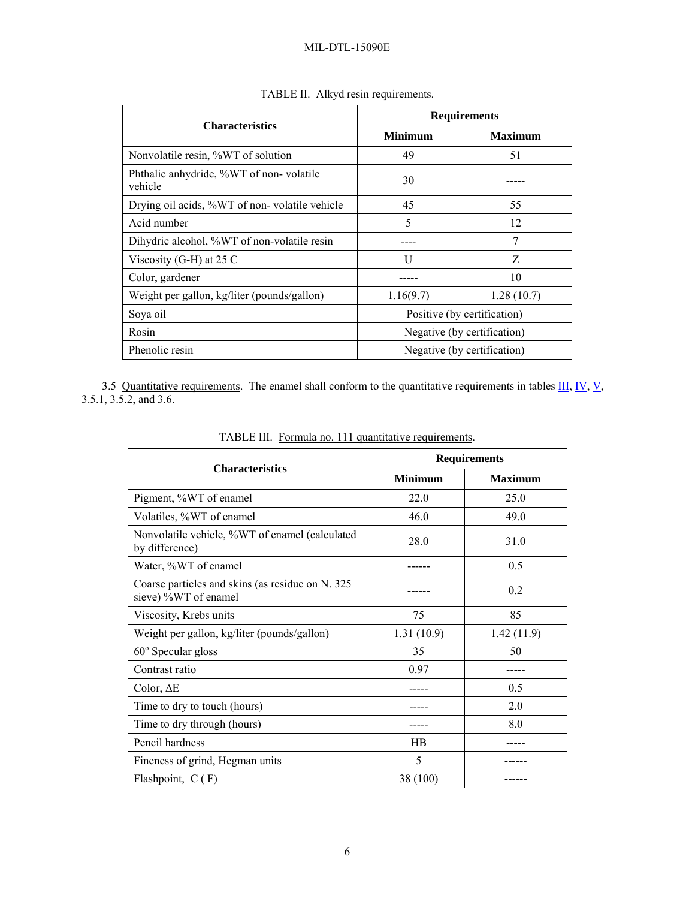<span id="page-5-0"></span>

| <b>Characteristics</b>                             | <b>Requirements</b>         |                |  |
|----------------------------------------------------|-----------------------------|----------------|--|
|                                                    | <b>Minimum</b>              | <b>Maximum</b> |  |
| Nonvolatile resin, %WT of solution                 | 49                          | 51             |  |
| Phthalic anhydride, %WT of non-volatile<br>vehicle | 30                          |                |  |
| Drying oil acids, %WT of non-volatile vehicle      | 45                          | 55             |  |
| Acid number                                        | 5                           | 12             |  |
| Dihydric alcohol, %WT of non-volatile resin        |                             | 7              |  |
| Viscosity (G-H) at $25 \text{ C}$                  | U                           | Z              |  |
| Color, gardener                                    |                             | 10             |  |
| Weight per gallon, kg/liter (pounds/gallon)        | 1.16(9.7)                   | 1.28(10.7)     |  |
| Soya oil                                           | Positive (by certification) |                |  |
| Rosin                                              | Negative (by certification) |                |  |
| Phenolic resin                                     | Negative (by certification) |                |  |

TABLE II. Alkyd resin requirements.

3.5 Quantitative requirements. The enamel shall conform to the quantitative requirements in tables  $\underline{III}$ ,  $\underline{IV}$  $\underline{IV}$  $\underline{IV}$ ,  $\underline{V}$ , [3.5.1,](#page-6-1) [3.5.2,](#page-7-1) and [3.6.](#page-7-2)

| <b>Characteristics</b>                                                    | <b>Requirements</b> |                |  |
|---------------------------------------------------------------------------|---------------------|----------------|--|
|                                                                           | <b>Minimum</b>      | <b>Maximum</b> |  |
| Pigment, %WT of enamel                                                    | 22.0                | 25.0           |  |
| Volatiles, %WT of enamel                                                  | 46 Q                | 49.0           |  |
| Nonvolatile vehicle, %WT of enamel (calculated<br>by difference)          | 28.0                | 31.0           |  |
| Water, %WT of enamel                                                      |                     | 0.5            |  |
| Coarse particles and skins (as residue on N. 325)<br>sieve) %WT of enamel |                     | 0.2            |  |
| Viscosity, Krebs units                                                    | 75                  | 85             |  |
| Weight per gallon, kg/liter (pounds/gallon)                               | 1.31(10.9)          | 1.42(11.9)     |  |
| $60^{\circ}$ Specular gloss                                               | 35                  | 50             |  |
| Contrast ratio                                                            | 0.97                |                |  |
| Color, AE                                                                 |                     | 0.5            |  |
| Time to dry to touch (hours)                                              |                     | 2.0            |  |
| Time to dry through (hours)                                               |                     | 8.0            |  |
| Pencil hardness                                                           | <b>HB</b>           |                |  |
| Fineness of grind, Hegman units                                           | 5                   |                |  |
| Flashpoint, $C(F)$                                                        | 38 (100)            |                |  |

TABLE III. Formula no. 111 quantitative requirements.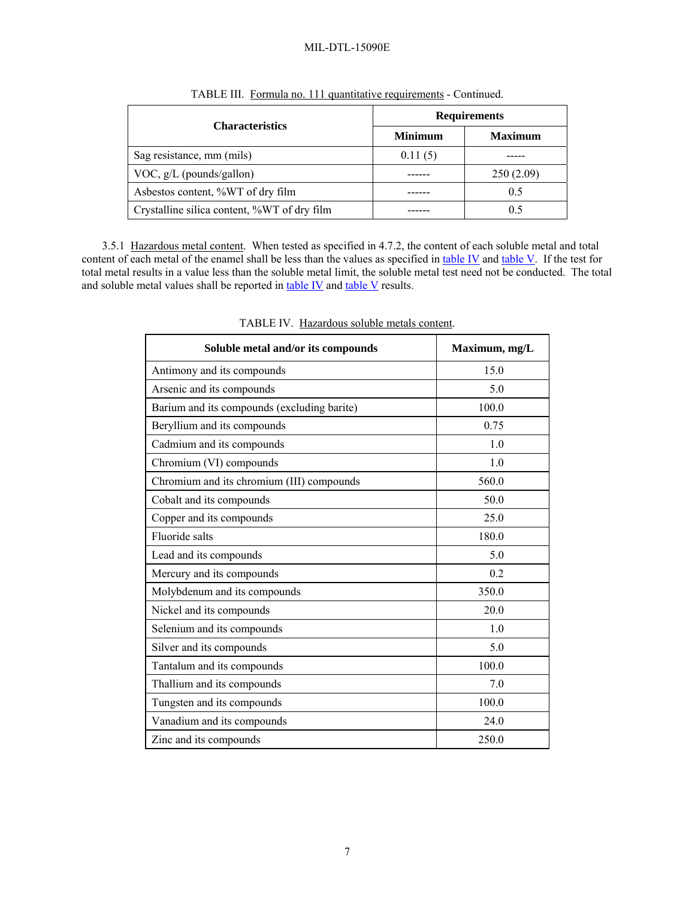<span id="page-6-0"></span>

| <b>Characteristics</b>                      | <b>Requirements</b> |                |  |
|---------------------------------------------|---------------------|----------------|--|
|                                             | <b>Minimum</b>      | <b>Maximum</b> |  |
| Sag resistance, mm (mils)                   | 0.11(5)             |                |  |
| VOC, $g/L$ (pounds/gallon)                  |                     | 250(2.09)      |  |
| Asbestos content, %WT of dry film           |                     | 0.5            |  |
| Crystalline silica content, %WT of dry film |                     | 0.5            |  |

TABLE III. Formula no. 111 quantitative requirements - Continued.

<span id="page-6-1"></span>3.5.1 Hazardous metal content. When tested as specified in [4.7.2,](#page-11-0) the content of each soluble metal and total content of each metal of the enamel shall be less than the values as specified in [table IV](#page-6-0) and [table V](#page-7-0). If the test for total metal results in a value less than the soluble metal limit, the soluble metal test need not be conducted. The total and soluble metal values shall be reported in [table IV](#page-6-0) and [table V](#page-7-0) results.

| Soluble metal and/or its compounds          | Maximum, mg/L |
|---------------------------------------------|---------------|
| Antimony and its compounds                  | 15.0          |
| Arsenic and its compounds                   | 5.0           |
| Barium and its compounds (excluding barite) | 100.0         |
| Beryllium and its compounds                 | 0.75          |
| Cadmium and its compounds                   | 1.0           |
| Chromium (VI) compounds                     | 1.0           |
| Chromium and its chromium (III) compounds   | 560.0         |
| Cobalt and its compounds                    | 50.0          |
| Copper and its compounds                    | 25.0          |
| Fluoride salts                              | 180.0         |
| Lead and its compounds                      | 5.0           |
| Mercury and its compounds                   | 0.2           |
| Molybdenum and its compounds                | 350.0         |
| Nickel and its compounds                    | 20.0          |
| Selenium and its compounds                  | 1.0           |
| Silver and its compounds                    | 5.0           |
| Tantalum and its compounds                  | 100.0         |
| Thallium and its compounds                  | 7.0           |
| Tungsten and its compounds                  | 100.0         |
| Vanadium and its compounds                  | 24.0          |
| Zinc and its compounds                      | 250.0         |

TABLE IV. Hazardous soluble metals content.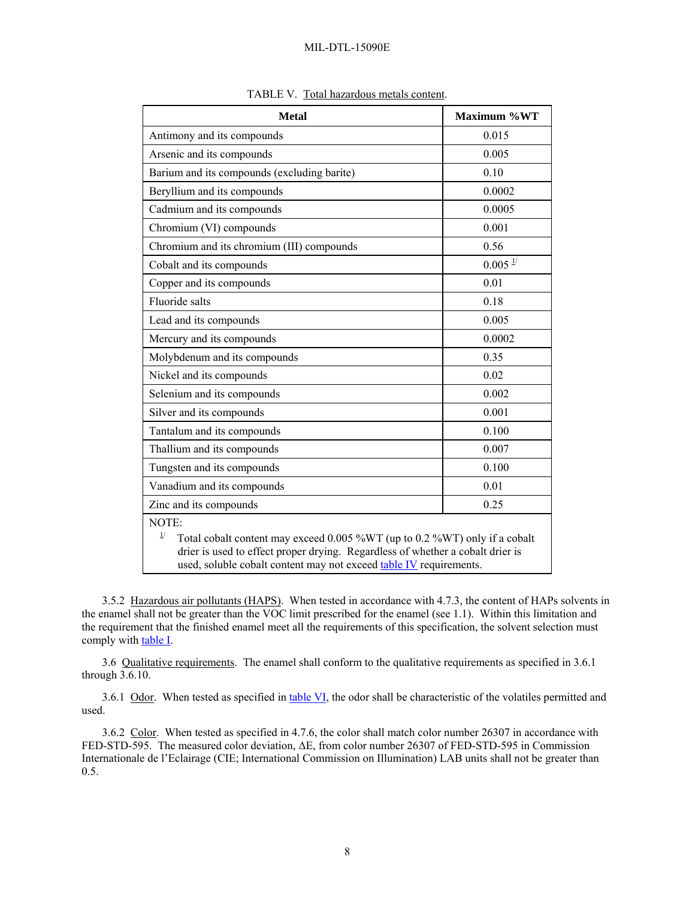<span id="page-7-0"></span>

| <b>Metal</b>                                                                                                                                                                                                                                                 | Maximum %WT         |  |  |
|--------------------------------------------------------------------------------------------------------------------------------------------------------------------------------------------------------------------------------------------------------------|---------------------|--|--|
| Antimony and its compounds                                                                                                                                                                                                                                   | 0.015               |  |  |
| Arsenic and its compounds                                                                                                                                                                                                                                    | 0.005               |  |  |
| Barium and its compounds (excluding barite)                                                                                                                                                                                                                  | 0.10                |  |  |
| Beryllium and its compounds                                                                                                                                                                                                                                  | 0.0002              |  |  |
| Cadmium and its compounds                                                                                                                                                                                                                                    | 0.0005              |  |  |
| Chromium (VI) compounds                                                                                                                                                                                                                                      | 0.001               |  |  |
| Chromium and its chromium (III) compounds                                                                                                                                                                                                                    | 0.56                |  |  |
| Cobalt and its compounds                                                                                                                                                                                                                                     | $0.005 \frac{1}{2}$ |  |  |
| Copper and its compounds                                                                                                                                                                                                                                     | 0.01                |  |  |
| Fluoride salts                                                                                                                                                                                                                                               | 0.18                |  |  |
| Lead and its compounds                                                                                                                                                                                                                                       | 0.005               |  |  |
| Mercury and its compounds                                                                                                                                                                                                                                    | 0.0002              |  |  |
| Molybdenum and its compounds                                                                                                                                                                                                                                 | 0.35                |  |  |
| Nickel and its compounds                                                                                                                                                                                                                                     | 0.02                |  |  |
| Selenium and its compounds                                                                                                                                                                                                                                   | 0.002               |  |  |
| Silver and its compounds                                                                                                                                                                                                                                     | 0.001               |  |  |
| Tantalum and its compounds                                                                                                                                                                                                                                   | 0.100               |  |  |
| Thallium and its compounds                                                                                                                                                                                                                                   | 0.007               |  |  |
| Tungsten and its compounds                                                                                                                                                                                                                                   | 0.100               |  |  |
| Vanadium and its compounds                                                                                                                                                                                                                                   | 0.01                |  |  |
| Zinc and its compounds                                                                                                                                                                                                                                       | 0.25                |  |  |
| NOTE:<br>$\frac{1}{2}$<br>Total cobalt content may exceed 0.005 %WT (up to 0.2 %WT) only if a cobalt<br>drier is used to effect proper drying. Regardless of whether a cobalt drier is<br>used, soluble cobalt content may not exceed table IV requirements. |                     |  |  |

| TABLE V. Total hazardous metals content. |  |
|------------------------------------------|--|
|                                          |  |

<span id="page-7-1"></span>3.5.2 Hazardous air pollutants (HAPS). When tested in accordance with [4.7.3](#page-12-0), the content of HAPs solvents in the enamel shall not be greater than the VOC limit prescribed for the enamel (see [1.1\)](#page-0-0). Within this limitation and the requirement that the finished enamel meet all the requirements of this specification, the solvent selection must comply with **[table I](#page-4-0)**.

<span id="page-7-2"></span>3.6 Qualitative requirements. The enamel shall conform to the qualitative requirements as specified in [3.6.1](#page-7-3) through [3.6.10.](#page-8-0)

<span id="page-7-3"></span>3.6.1 Odor. When tested as specified in [table VI](#page-10-0), the odor shall be characteristic of the volatiles permitted and used.

<span id="page-7-4"></span>3.6.2 Color. When tested as specified in [4.7.6](#page-12-1), the color shall match color number 26307 in accordance with FED-STD-595. The measured color deviation, ΔE, from color number 26307 of FED-STD-595 in Commission Internationale de l'Eclairage (CIE; International Commission on Illumination) LAB units shall not be greater than 0.5.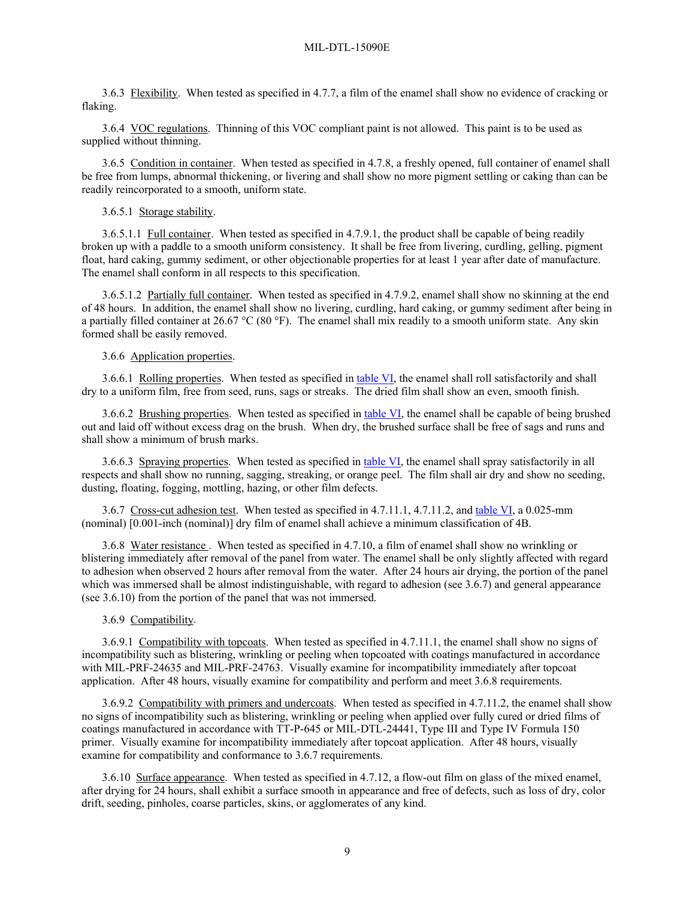<span id="page-8-3"></span>3.6.3 Flexibility. When tested as specified in [4.7.7](#page-13-0), a film of the enamel shall show no evidence of cracking or flaking.

3.6.4 VOC regulations. Thinning of this VOC compliant paint is not allowed. This paint is to be used as supplied without thinning.

<span id="page-8-4"></span>3.6.5 Condition in container. When tested as specified in [4.7.8](#page-13-1), a freshly opened, full container of enamel shall be free from lumps, abnormal thickening, or livering and shall show no more pigment settling or caking than can be readily reincorporated to a smooth, uniform state.

# 3.6.5.1 Storage stability.

<span id="page-8-5"></span>3.6.5.1.1 Full container. When tested as specified in [4.7.9.1,](#page-13-2) the product shall be capable of being readily broken up with a paddle to a smooth uniform consistency. It shall be free from livering, curdling, gelling, pigment float, hard caking, gummy sediment, or other objectionable properties for at least 1 year after date of manufacture. The enamel shall conform in all respects to this specification.

<span id="page-8-6"></span>3.6.5.1.2 Partially full container. When tested as specified in [4.7.9.2,](#page-13-3) enamel shall show no skinning at the end of 48 hours. In addition, the enamel shall show no livering, curdling, hard caking, or gummy sediment after being in a partially filled container at 26.67 °C (80 °F). The enamel shall mix readily to a smooth uniform state. Any skin formed shall be easily removed.

# 3.6.6 Application properties.

3.6.6.1 Rolling properties. When tested as specified in [table VI,](#page-10-0) the enamel shall roll satisfactorily and shall dry to a uniform film, free from seed, runs, sags or streaks. The dried film shall show an even, smooth finish.

<span id="page-8-7"></span>3.6.6.2 Brushing properties. When tested as specified in [table VI,](#page-10-0) the enamel shall be capable of being brushed out and laid off without excess drag on the brush. When dry, the brushed surface shall be free of sags and runs and shall show a minimum of brush marks.

<span id="page-8-8"></span>3.6.6.3 Spraying properties. When tested as specified in [table VI,](#page-10-0) the enamel shall spray satisfactorily in all respects and shall show no running, sagging, streaking, or orange peel. The film shall air dry and show no seeding, dusting, floating, fogging, mottling, hazing, or other film defects.

<span id="page-8-1"></span>3.6.7 Cross-cut adhesion test. When tested as specified in [4.7.11.1,](#page-14-1) [4.7.11.2](#page-14-2), and [table VI,](#page-10-0) a 0.025-mm (nominal) [0.001-inch (nominal)] dry film of enamel shall achieve a minimum classification of 4B.

<span id="page-8-2"></span>3.6.8 Water resistance . When tested as specified in [4.7.10](#page-14-3), a film of enamel shall show no wrinkling or blistering immediately after removal of the panel from water. The enamel shall be only slightly affected with regard to adhesion when observed 2 hours after removal from the water. After 24 hours air drying, the portion of the panel which was immersed shall be almost indistinguishable, with regard to adhesion (see [3.6.7\)](#page-8-1) and general appearance (see [3.6.10\)](#page-8-0) from the portion of the panel that was not immersed.

#### 3.6.9 Compatibility.

<span id="page-8-9"></span>3.6.9.1 Compatibility with topcoats. When tested as specified in [4.7.11.1](#page-14-1), the enamel shall show no signs of incompatibility such as blistering, wrinkling or peeling when topcoated with coatings manufactured in accordance with MIL-PRF-24635 and MIL-PRF-24763. Visually examine for incompatibility immediately after topcoat application. After 48 hours, visually examine for compatibility and perform and meet [3.6.8](#page-8-2) requirements.

<span id="page-8-10"></span>3.6.9.2 Compatibility with primers and undercoats. When tested as specified in [4.7.11.2](#page-14-2), the enamel shall show no signs of incompatibility such as blistering, wrinkling or peeling when applied over fully cured or dried films of coatings manufactured in accordance with TT-P-645 or MIL-DTL-24441, Type III and Type IV Formula 150 primer. Visually examine for incompatibility immediately after topcoat application. After 48 hours, visually examine for compatibility and conformance to [3.6.7](#page-8-1) requirements.

<span id="page-8-0"></span>3.6.10 Surface appearance. When tested as specified in [4.7.12](#page-14-4), a flow-out film on glass of the mixed enamel, after drying for 24 hours, shall exhibit a surface smooth in appearance and free of defects, such as loss of dry, color drift, seeding, pinholes, coarse particles, skins, or agglomerates of any kind.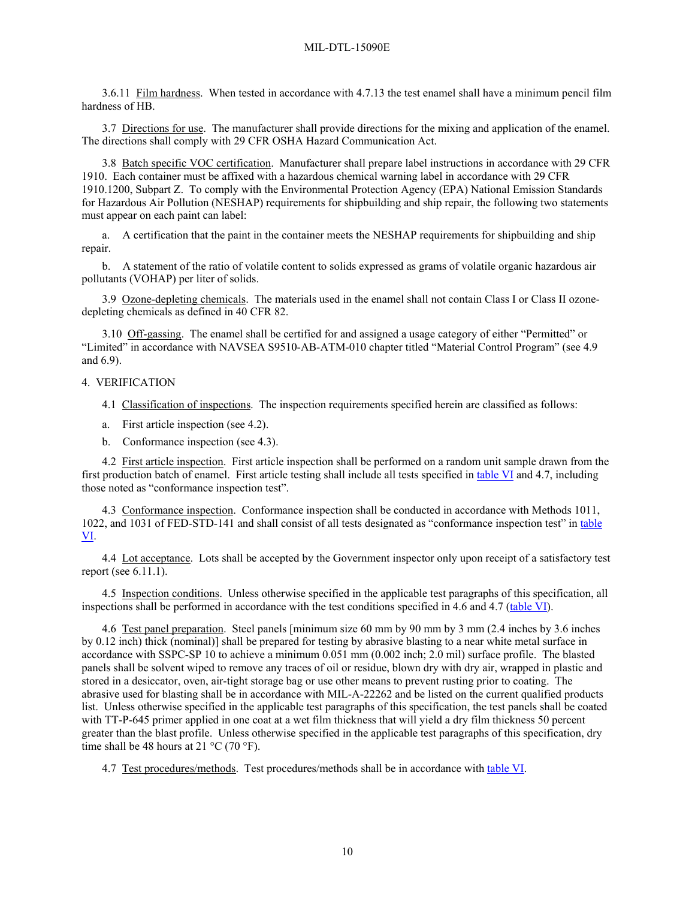<span id="page-9-4"></span>3.6.11 Film hardness. When tested in accordance with [4.7.13](#page-14-5) the test enamel shall have a minimum pencil film hardness of HB.

3.7 Directions for use. The manufacturer shall provide directions for the mixing and application of the enamel. The directions shall comply with 29 CFR OSHA Hazard Communication Act.

3.8 Batch specific VOC certification. Manufacturer shall prepare label instructions in accordance with 29 CFR 1910. Each container must be affixed with a hazardous chemical warning label in accordance with 29 CFR 1910.1200, Subpart Z. To comply with the Environmental Protection Agency (EPA) National Emission Standards for Hazardous Air Pollution (NESHAP) requirements for shipbuilding and ship repair, the following two statements must appear on each paint can label:

a. A certification that the paint in the container meets the NESHAP requirements for shipbuilding and ship repair.

b. A statement of the ratio of volatile content to solids expressed as grams of volatile organic hazardous air pollutants (VOHAP) per liter of solids.

3.9 Ozone-depleting chemicals. The materials used in the enamel shall not contain Class I or Class II ozonedepleting chemicals as defined in 40 CFR 82.

<span id="page-9-5"></span>3.10 Off-gassing. The enamel shall be certified for and assigned a usage category of either "Permitted" or "Limited" in accordance with NAVSEA S9510-AB-ATM-010 chapter titled "Material Control Program" (see [4.9](#page-14-6) and [6.9\)](#page-16-1).

### 4. VERIFICATION

- 4.1 Classification of inspections. The inspection requirements specified herein are classified as follows:
- a. First article inspection (see [4.2\)](#page-9-0).
- b. Conformance inspection (see [4.3\)](#page-9-1).

<span id="page-9-0"></span>4.2 First article inspection. First article inspection shall be performed on a random unit sample drawn from the first production batch of enamel. First article testing shall include all tests specified in [table VI](#page-10-0) and [4.7,](#page-9-2) including those noted as "conformance inspection test".

<span id="page-9-1"></span>4.3 Conformance inspection. Conformance inspection shall be conducted in accordance with Methods 1011, 1022, and 1031 of FED-STD-141 and shall consist of all tests designated as "conformance inspection test" in [table](#page-10-0)  [VI.](#page-10-0)

4.4 Lot acceptance. Lots shall be accepted by the Government inspector only upon receipt of a satisfactory test report (see [6.11.1\)](#page-18-0).

4.5 Inspection conditions. Unless otherwise specified in the applicable test paragraphs of this specification, all inspections shall be performed in accordance with the test conditions specified in [4.6](#page-9-3) and [4.7](#page-9-2) [\(table VI\)](#page-10-0).

<span id="page-9-3"></span>4.6 Test panel preparation. Steel panels [minimum size 60 mm by 90 mm by 3 mm (2.4 inches by 3.6 inches by 0.12 inch) thick (nominal)] shall be prepared for testing by abrasive blasting to a near white metal surface in accordance with SSPC-SP 10 to achieve a minimum 0.051 mm (0.002 inch; 2.0 mil) surface profile. The blasted panels shall be solvent wiped to remove any traces of oil or residue, blown dry with dry air, wrapped in plastic and stored in a desiccator, oven, air-tight storage bag or use other means to prevent rusting prior to coating. The abrasive used for blasting shall be in accordance with MIL-A-22262 and be listed on the current qualified products list. Unless otherwise specified in the applicable test paragraphs of this specification, the test panels shall be coated with TT-P-645 primer applied in one coat at a wet film thickness that will yield a dry film thickness 50 percent greater than the blast profile. Unless otherwise specified in the applicable test paragraphs of this specification, dry time shall be 48 hours at 21  $^{\circ}$ C (70  $^{\circ}$ F).

<span id="page-9-2"></span>4.7 Test procedures/methods. Test procedures/methods shall be in accordance with [table VI.](#page-10-0)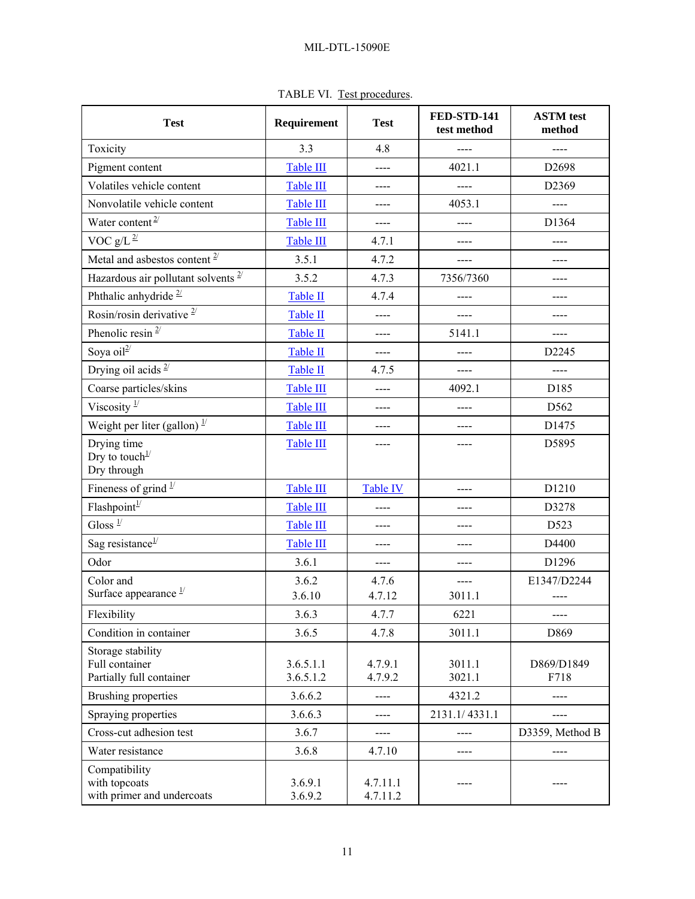| TABLE VI. Test procedures. |  |
|----------------------------|--|

<span id="page-10-0"></span>

| <b>Test</b>                                                           | Requirement            | <b>Test</b>          | <b>FED-STD-141</b><br>test method | <b>ASTM</b> test<br>method |
|-----------------------------------------------------------------------|------------------------|----------------------|-----------------------------------|----------------------------|
| Toxicity                                                              | 3.3                    | 4.8                  |                                   |                            |
| Pigment content                                                       | Table III              | ----                 | 4021.1                            | D <sub>2698</sub>          |
| Volatiles vehicle content                                             | Table III              | ----                 | ----                              | D2369                      |
| Nonvolatile vehicle content                                           | Table III              | ----                 | 4053.1                            |                            |
| Water content <sup><math>2/</math></sup>                              | Table III              | $--- -$              | $---$                             | D1364                      |
| VOC $g/L^{\frac{2}{}}$                                                | Table III              | 4.7.1                |                                   | ----                       |
| Metal and asbestos content $2^{7}$                                    | 3.5.1                  | 4.7.2                |                                   |                            |
| Hazardous air pollutant solvents $2^{7}$                              | 3.5.2                  | 4.7.3                | 7356/7360                         |                            |
| Phthalic anhydride $^{\underline{2}/}$                                | Table II               | 4.7.4                | ----                              | ----                       |
| Rosin/rosin derivative $2/$                                           | Table II               | ----                 |                                   | ----                       |
| Phenolic resin $2$                                                    | Table II               | ----                 | 5141.1                            | $---$                      |
| Soya oil <sup>2/</sup>                                                | Table II               | ----                 |                                   | D <sub>2245</sub>          |
| Drying oil acids $2/$                                                 | Table II               | 4.7.5                | ----                              | ----                       |
| Coarse particles/skins                                                | Table III              | ----                 | 4092.1                            | D185                       |
| Viscosity $\frac{1}{3}$                                               | Table III              | $---$                | ----                              | D562                       |
| Weight per liter (gallon) $\frac{1}{2}$                               | Table III              | ----                 | ----                              | D1475                      |
| Drying time<br>Dry to touch <sup><math>1/</math></sup><br>Dry through | Table III              | ----                 | ----                              | D5895                      |
| Fineness of grind $1/$                                                | Table III              | <b>Table IV</b>      | $---$                             | D1210                      |
| $\ensuremath{\mathsf{Flashpoint}}^{\ensuremath{\mathsf{1}}\xspace}$   | <b>Table III</b>       | ----                 | ----                              | D3278                      |
| Gloss $\overline{1/2}$                                                | Table III              | ----                 |                                   | D523                       |
| Sag resistance $1/$                                                   | Table III              | ----                 |                                   | D4400                      |
| Odor                                                                  | 3.6.1                  | ----                 |                                   | D1296                      |
| Color and<br>Surface appearance $\frac{1}{2}$                         | 3.6.2<br>3.6.10        | 4.7.6<br>4.7.12      | ----<br>3011.1                    | E1347/D2244                |
| Flexibility                                                           | 3.6.3                  | 4.7.7                | 6221                              |                            |
| Condition in container                                                | 3.6.5                  | 4.7.8                | 3011.1                            | D869                       |
| Storage stability<br>Full container<br>Partially full container       | 3.6.5.1.1<br>3.6.5.1.2 | 4.7.9.1<br>4.7.9.2   | 3011.1<br>3021.1                  | D869/D1849<br>F718         |
| <b>Brushing properties</b>                                            | 3.6.6.2                | ----                 | 4321.2                            | ----                       |
| Spraying properties                                                   | 3.6.6.3                |                      | 2131.1/4331.1                     |                            |
| Cross-cut adhesion test                                               | 3.6.7                  | ----                 |                                   | D3359, Method B            |
| Water resistance                                                      | 3.6.8                  | 4.7.10               |                                   | ----                       |
| Compatibility<br>with topcoats<br>with primer and undercoats          | 3.6.9.1<br>3.6.9.2     | 4.7.11.1<br>4.7.11.2 |                                   |                            |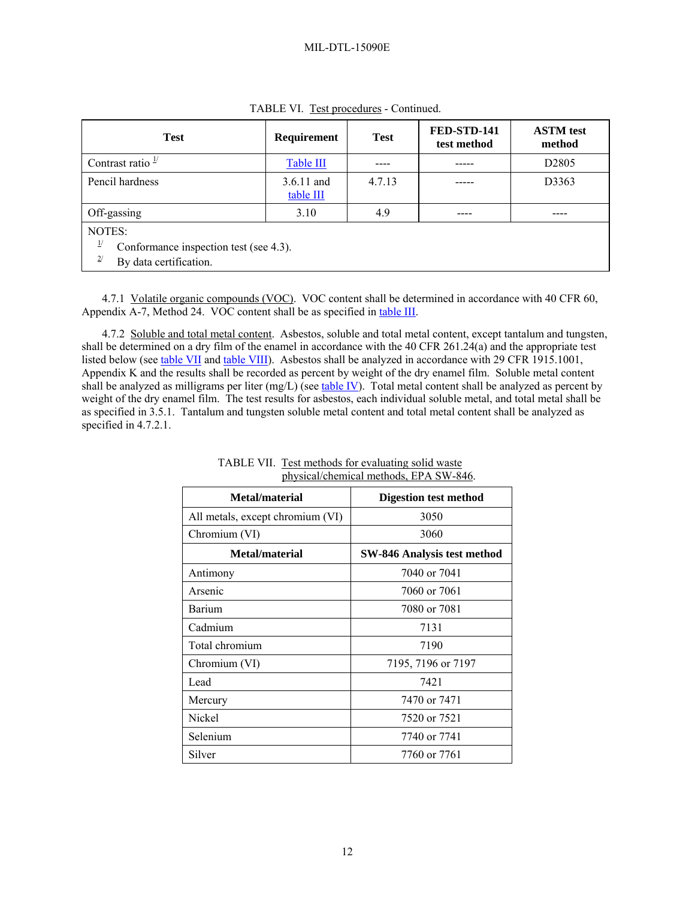<span id="page-11-2"></span>

| <b>Test</b>                                                                                 | Requirement             | <b>Test</b> | FED-STD-141<br>test method | <b>ASTM</b> test<br>method |
|---------------------------------------------------------------------------------------------|-------------------------|-------------|----------------------------|----------------------------|
| Contrast ratio $\frac{1}{1}$                                                                | Table III               |             |                            | D <sub>2805</sub>          |
| Pencil hardness                                                                             | 3.6.11 and<br>table III | 4.7.13      |                            | D3363                      |
| Off-gassing                                                                                 | 3.10                    | 4.9         |                            |                            |
| NOTES:<br>$_{1/}$<br>Conformance inspection test (see 4.3).<br>2/<br>By data certification. |                         |             |                            |                            |

TABLE VI. Test procedures - Continued.

<span id="page-11-1"></span>4.7.1 Volatile organic compounds (VOC). VOC content shall be determined in accordance with 40 CFR 60, Appendix A-7, Method 24. VOC content shall be as specified in [table III](#page-5-0).

<span id="page-11-0"></span>4.7.2 Soluble and total metal content. Asbestos, soluble and total metal content, except tantalum and tungsten, shall be determined on a dry film of the enamel in accordance with the 40 CFR 261.24(a) and the appropriate test listed below (see [table VII](#page-11-2) and [table VIII](#page-12-4)). Asbestos shall be analyzed in accordance with 29 CFR 1915.1001, Appendix K and the results shall be recorded as percent by weight of the dry enamel film. Soluble metal content shall be analyzed as milligrams per liter (mg/L) (see [table IV\)](#page-6-0). Total metal content shall be analyzed as percent by weight of the dry enamel film. The test results for asbestos, each individual soluble metal, and total metal shall be as specified in [3.5.1.](#page-6-1) Tantalum and tungsten soluble metal content and total metal content shall be analyzed as specified in [4.7.2.1](#page-12-5).

| Metal/material                   | <b>Digestion test method</b>       |
|----------------------------------|------------------------------------|
| All metals, except chromium (VI) | 3050                               |
| Chromium (VI)                    | 3060                               |
| Metal/material                   | <b>SW-846 Analysis test method</b> |
| Antimony                         | 7040 or 7041                       |
| Arsenic                          | 7060 or 7061                       |
| Barium                           | 7080 or 7081                       |
| Cadmium                          | 7131                               |
| Total chromium                   | 7190                               |
| Chromium (VI)                    | 7195, 7196 or 7197                 |
| Lead                             | 7421                               |
| Mercury                          | 7470 or 7471                       |
| Nickel                           | 7520 or 7521                       |
| Selenium                         | 7740 or 7741                       |
| Silver                           | 7760 or 7761                       |

TABLE VII. Test methods for evaluating solid waste physical/chemical methods, EPA SW-846.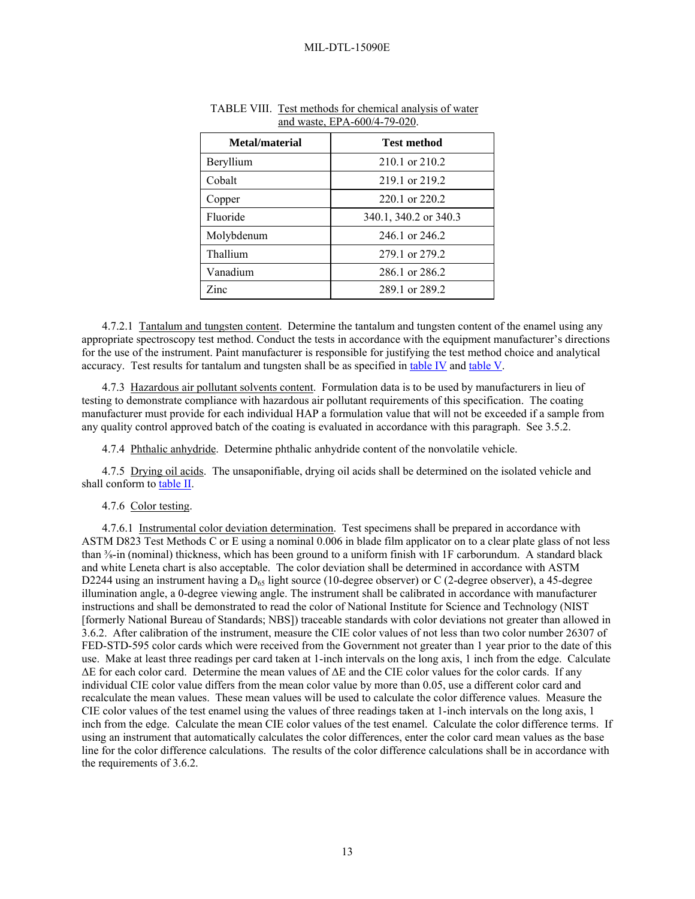| Metal/material | Test method           |
|----------------|-----------------------|
| Beryllium      | 210.1 or 210.2        |
| Cobalt         | 219.1 or 219.2        |
| Copper         | 220.1 or 220.2        |
| Fluoride       | 340.1, 340.2 or 340.3 |
| Molybdenum     | 246 1 or 246 2        |
| Thallium       | 279.1 or 279.2        |
| Vanadium       | 286.1 or 286.2        |
| Zinc           | 289 1 or 289 2        |

<span id="page-12-4"></span>

| TABLE VIII. Test methods for chemical analysis of water |
|---------------------------------------------------------|
| and waste, $EPA-600/4-79-020$ .                         |

<span id="page-12-5"></span>4.7.2.1 Tantalum and tungsten content. Determine the tantalum and tungsten content of the enamel using any appropriate spectroscopy test method. Conduct the tests in accordance with the equipment manufacturer's directions for the use of the instrument. Paint manufacturer is responsible for justifying the test method choice and analytical accuracy. Test results for tantalum and tungsten shall be as specified in [table IV](#page-6-0) and [table V](#page-7-0).

<span id="page-12-0"></span>4.7.3 Hazardous air pollutant solvents content. Formulation data is to be used by manufacturers in lieu of testing to demonstrate compliance with hazardous air pollutant requirements of this specification. The coating manufacturer must provide for each individual HAP a formulation value that will not be exceeded if a sample from any quality control approved batch of the coating is evaluated in accordance with this paragraph. See [3.5.2.](#page-7-1)

4.7.4 Phthalic anhydride. Determine phthalic anhydride content of the nonvolatile vehicle.

<span id="page-12-3"></span><span id="page-12-2"></span>4.7.5 Drying oil acids. The unsaponifiable, drying oil acids shall be determined on the isolated vehicle and shall conform to [table II.](#page-5-0)

# 4.7.6 Color testing.

<span id="page-12-6"></span><span id="page-12-1"></span>4.7.6.1 Instrumental color deviation determination. Test specimens shall be prepared in accordance with ASTM D823 Test Methods C or E using a nominal 0.006 in blade film applicator on to a clear plate glass of not less than ⅜-in (nominal) thickness, which has been ground to a uniform finish with 1F carborundum. A standard black and white Leneta chart is also acceptable. The color deviation shall be determined in accordance with ASTM D2244 using an instrument having a  $D_{65}$  light source (10-degree observer) or C (2-degree observer), a 45-degree illumination angle, a 0-degree viewing angle. The instrument shall be calibrated in accordance with manufacturer instructions and shall be demonstrated to read the color of National Institute for Science and Technology (NIST [formerly National Bureau of Standards; NBS]) traceable standards with color deviations not greater than allowed in [3.6.2.](#page-7-4) After calibration of the instrument, measure the CIE color values of not less than two color number 26307 of FED-STD-595 color cards which were received from the Government not greater than 1 year prior to the date of this use. Make at least three readings per card taken at 1-inch intervals on the long axis, 1 inch from the edge. Calculate ΔE for each color card. Determine the mean values of ΔE and the CIE color values for the color cards. If any individual CIE color value differs from the mean color value by more than 0.05, use a different color card and recalculate the mean values. These mean values will be used to calculate the color difference values. Measure the CIE color values of the test enamel using the values of three readings taken at 1-inch intervals on the long axis, 1 inch from the edge. Calculate the mean CIE color values of the test enamel. Calculate the color difference terms. If using an instrument that automatically calculates the color differences, enter the color card mean values as the base line for the color difference calculations. The results of the color difference calculations shall be in accordance with the requirements of [3.6.2](#page-7-4).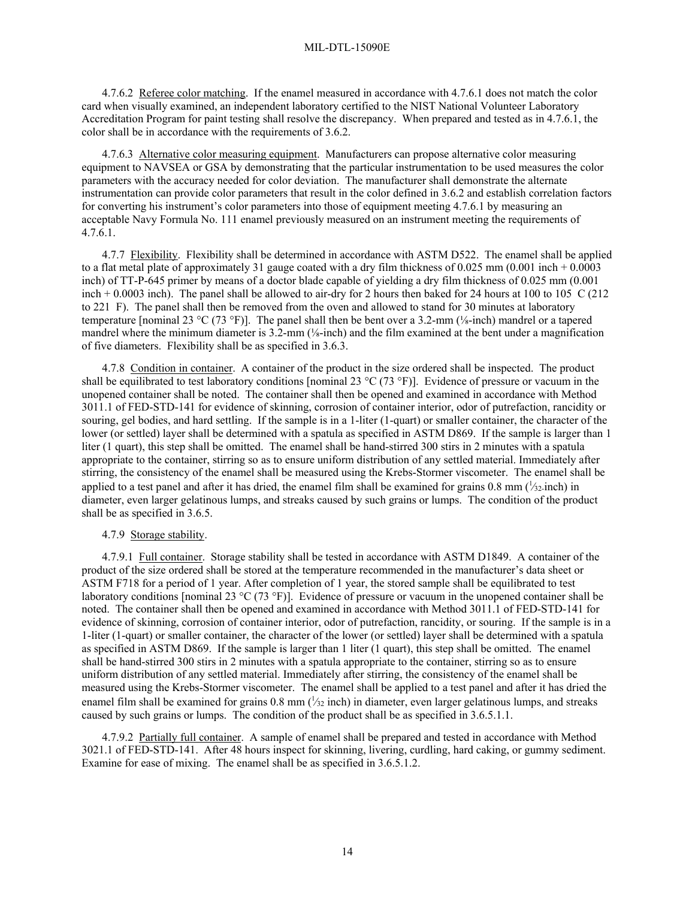4.7.6.2 Referee color matching. If the enamel measured in accordance with [4.7.6.1](#page-12-6) does not match the color card when visually examined, an independent laboratory certified to the NIST National Volunteer Laboratory Accreditation Program for paint testing shall resolve the discrepancy. When prepared and tested as in [4.7.6.1,](#page-12-6) the color shall be in accordance with the requirements of [3.6.2.](#page-7-4)

4.7.6.3 Alternative color measuring equipment. Manufacturers can propose alternative color measuring equipment to NAVSEA or GSA by demonstrating that the particular instrumentation to be used measures the color parameters with the accuracy needed for color deviation. The manufacturer shall demonstrate the alternate instrumentation can provide color parameters that result in the color defined in [3.6.2](#page-7-4) and establish correlation factors for converting his instrument's color parameters into those of equipment meeting [4.7.6.1](#page-12-6) by measuring an acceptable Navy Formula No. 111 enamel previously measured on an instrument meeting the requirements of  $4.7.\overline{6}.1.$ 

<span id="page-13-0"></span>4.7.7 Flexibility. Flexibility shall be determined in accordance with ASTM D522. The enamel shall be applied to a flat metal plate of approximately 31 gauge coated with a dry film thickness of  $0.025$  mm (0.001 inch + 0.0003 inch) of TT-P-645 primer by means of a doctor blade capable of yielding a dry film thickness of 0.025 mm (0.001 inch  $+ 0.0003$  inch). The panel shall be allowed to air-dry for 2 hours then baked for 24 hours at 100 to 105 C (212) to 221 F). The panel shall then be removed from the oven and allowed to stand for 30 minutes at laboratory temperature [nominal 23 °C (73 °F)]. The panel shall then be bent over a 3.2-mm (⅛-inch) mandrel or a tapered mandrel where the minimum diameter is 3.2-mm (⅛-inch) and the film examined at the bent under a magnification of five diameters. Flexibility shall be as specified in [3.6.3](#page-8-3).

<span id="page-13-1"></span>4.7.8 Condition in container. A container of the product in the size ordered shall be inspected. The product shall be equilibrated to test laboratory conditions [nominal 23  $^{\circ}C$  (73  $^{\circ}F$ )]. Evidence of pressure or vacuum in the unopened container shall be noted. The container shall then be opened and examined in accordance with Method 3011.1 of FED-STD-141 for evidence of skinning, corrosion of container interior, odor of putrefaction, rancidity or souring, gel bodies, and hard settling. If the sample is in a 1-liter (1-quart) or smaller container, the character of the lower (or settled) layer shall be determined with a spatula as specified in ASTM D869. If the sample is larger than 1 liter (1 quart), this step shall be omitted. The enamel shall be hand-stirred 300 stirs in 2 minutes with a spatula appropriate to the container, stirring so as to ensure uniform distribution of any settled material. Immediately after stirring, the consistency of the enamel shall be measured using the Krebs-Stormer viscometer. The enamel shall be applied to a test panel and after it has dried, the enamel film shall be examined for grains  $0.8 \text{ mm}$  ( $\frac{1}{2}$ -inch) in diameter, even larger gelatinous lumps, and streaks caused by such grains or lumps. The condition of the product shall be as specified in [3.6.5](#page-8-4).

#### 4.7.9 Storage stability.

<span id="page-13-2"></span>4.7.9.1 Full container. Storage stability shall be tested in accordance with ASTM D1849. A container of the product of the size ordered shall be stored at the temperature recommended in the manufacturer's data sheet or ASTM F718 for a period of 1 year. After completion of 1 year, the stored sample shall be equilibrated to test laboratory conditions [nominal 23 °C (73 °F)]. Evidence of pressure or vacuum in the unopened container shall be noted. The container shall then be opened and examined in accordance with Method 3011.1 of FED-STD-141 for evidence of skinning, corrosion of container interior, odor of putrefaction, rancidity, or souring. If the sample is in a 1-liter (1-quart) or smaller container, the character of the lower (or settled) layer shall be determined with a spatula as specified in ASTM D869. If the sample is larger than 1 liter (1 quart), this step shall be omitted. The enamel shall be hand-stirred 300 stirs in 2 minutes with a spatula appropriate to the container, stirring so as to ensure uniform distribution of any settled material. Immediately after stirring, the consistency of the enamel shall be measured using the Krebs-Stormer viscometer. The enamel shall be applied to a test panel and after it has dried the enamel film shall be examined for grains 0.8 mm  $\left(\frac{1}{2}i\right)$  inch) in diameter, even larger gelatinous lumps, and streaks caused by such grains or lumps. The condition of the product shall be as specified in [3.6.5.1.1.](#page-8-5)

<span id="page-13-3"></span>4.7.9.2 Partially full container. A sample of enamel shall be prepared and tested in accordance with Method 3021.1 of FED-STD-141. After 48 hours inspect for skinning, livering, curdling, hard caking, or gummy sediment. Examine for ease of mixing. The enamel shall be as specified in [3.6.5.1.2](#page-8-6).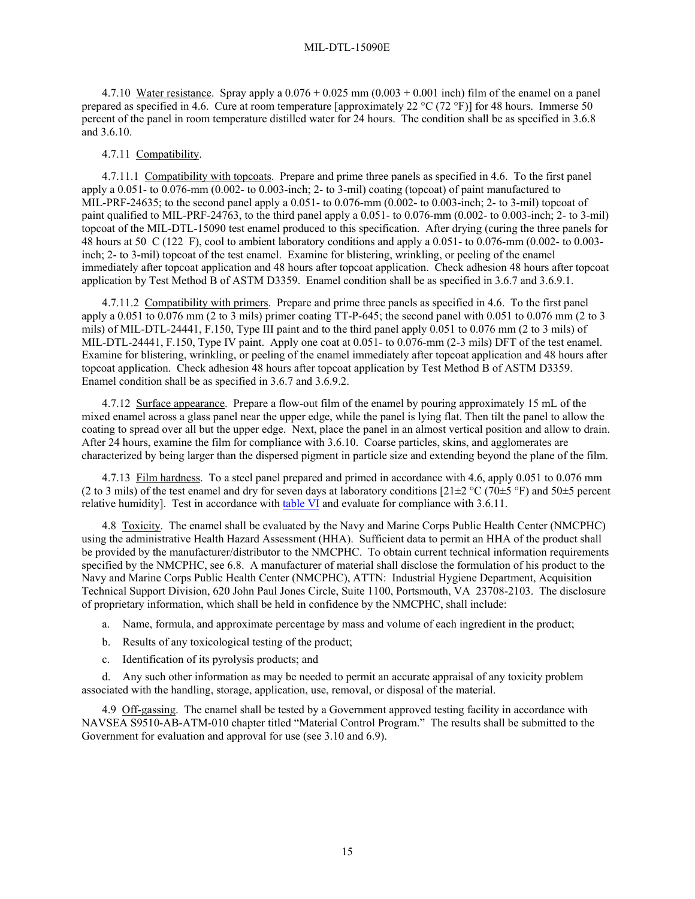<span id="page-14-3"></span>4.7.10 Water resistance. Spray apply a  $0.076 + 0.025$  mm  $(0.003 + 0.001$  inch) film of the enamel on a panel prepared as specified in 4.6. Cure at room temperature [approximately 22 °C (72 °F)] for 48 hours. Immerse 50 percent of the panel in room temperature distilled water for 24 hours. The condition shall be as specified in [3.6.8](#page-8-2) and [3.6.10.](#page-8-0)

## 4.7.11 Compatibility.

<span id="page-14-1"></span>4.7.11.1 Compatibility with topcoats. Prepare and prime three panels as specified in [4.6](#page-9-3). To the first panel apply a 0.051- to 0.076-mm (0.002- to 0.003-inch; 2- to 3-mil) coating (topcoat) of paint manufactured to MIL-PRF-24635; to the second panel apply a 0.051- to 0.076-mm (0.002- to 0.003-inch; 2- to 3-mil) topcoat of paint qualified to MIL-PRF-24763, to the third panel apply a 0.051- to 0.076-mm (0.002- to 0.003-inch; 2- to 3-mil) topcoat of the MIL-DTL-15090 test enamel produced to this specification. After drying (curing the three panels for 48 hours at 50 C (122 F), cool to ambient laboratory conditions and apply a 0.051- to 0.076-mm (0.002- to 0.003 inch; 2- to 3-mil) topcoat of the test enamel. Examine for blistering, wrinkling, or peeling of the enamel immediately after topcoat application and 48 hours after topcoat application. Check adhesion 48 hours after topcoat application by Test Method B of ASTM D3359. Enamel condition shall be as specified in [3.6.7](#page-8-1) and [3.6.9.1](#page-8-9).

<span id="page-14-2"></span>4.7.11.2 Compatibility with primers. Prepare and prime three panels as specified in [4.6](#page-9-3). To the first panel apply a  $0.051$  to  $0.076$  mm (2 to 3 mils) primer coating TT-P-645; the second panel with  $0.051$  to  $0.076$  mm (2 to 3 mils) of MIL-DTL-24441, F.150, Type III paint and to the third panel apply 0.051 to 0.076 mm (2 to 3 mils) of MIL-DTL-24441, F.150, Type IV paint. Apply one coat at 0.051- to 0.076-mm (2-3 mils) DFT of the test enamel. Examine for blistering, wrinkling, or peeling of the enamel immediately after topcoat application and 48 hours after topcoat application. Check adhesion 48 hours after topcoat application by Test Method B of ASTM D3359. Enamel condition shall be as specified in [3.6.7](#page-8-1) and [3.6.9.2](#page-8-10).

<span id="page-14-4"></span>4.7.12 Surface appearance. Prepare a flow-out film of the enamel by pouring approximately 15 mL of the mixed enamel across a glass panel near the upper edge, while the panel is lying flat. Then tilt the panel to allow the coating to spread over all but the upper edge. Next, place the panel in an almost vertical position and allow to drain. After 24 hours, examine the film for compliance with [3.6.10.](#page-8-0) Coarse particles, skins, and agglomerates are characterized by being larger than the dispersed pigment in particle size and extending beyond the plane of the film.

<span id="page-14-5"></span>4.7.13 Film hardness. To a steel panel prepared and primed in accordance with [4.6](#page-9-3), apply 0.051 to 0.076 mm (2 to 3 mils) of the test enamel and dry for seven days at laboratory conditions  $[21\pm2 °C (70\pm5 °F)$  and  $50\pm5$  percent relative humidity]. Test in accordance with [table VI](#page-10-0) and evaluate for compliance with [3.6.11.](#page-9-4)

<span id="page-14-0"></span>4.8 Toxicity. The enamel shall be evaluated by the Navy and Marine Corps Public Health Center (NMCPHC) using the administrative Health Hazard Assessment (HHA). Sufficient data to permit an HHA of the product shall be provided by the manufacturer/distributor to the NMCPHC. To obtain current technical information requirements specified by the NMCPHC, see [6.8.](#page-16-0) A manufacturer of material shall disclose the formulation of his product to the Navy and Marine Corps Public Health Center (NMCPHC), ATTN: Industrial Hygiene Department, Acquisition Technical Support Division, 620 John Paul Jones Circle, Suite 1100, Portsmouth, VA 23708-2103. The disclosure of proprietary information, which shall be held in confidence by the NMCPHC, shall include:

- a. Name, formula, and approximate percentage by mass and volume of each ingredient in the product;
- b. Results of any toxicological testing of the product;
- c. Identification of its pyrolysis products; and

d. Any such other information as may be needed to permit an accurate appraisal of any toxicity problem associated with the handling, storage, application, use, removal, or disposal of the material.

<span id="page-14-6"></span>4.9 Off-gassing. The enamel shall be tested by a Government approved testing facility in accordance with NAVSEA S9510-AB-ATM-010 chapter titled "Material Control Program." The results shall be submitted to the Government for evaluation and approval for use (see [3.10](#page-9-5) and [6.9](#page-16-1)).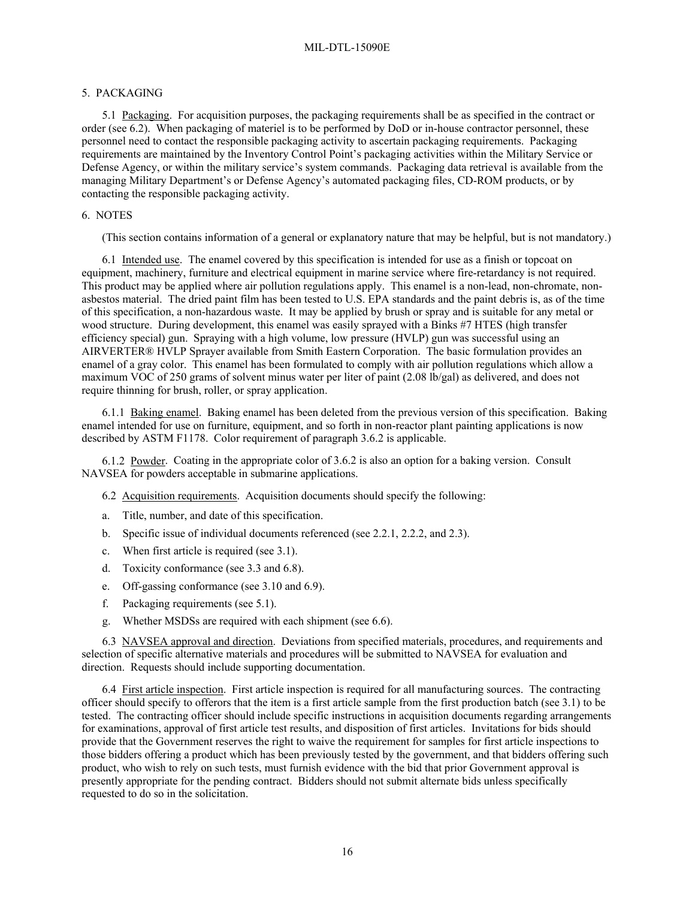# 5. PACKAGING

<span id="page-15-1"></span>5.1 Packaging. For acquisition purposes, the packaging requirements shall be as specified in the contract or order (see [6.2\)](#page-15-0). When packaging of materiel is to be performed by DoD or in-house contractor personnel, these personnel need to contact the responsible packaging activity to ascertain packaging requirements. Packaging requirements are maintained by the Inventory Control Point's packaging activities within the Military Service or Defense Agency, or within the military service's system commands. Packaging data retrieval is available from the managing Military Department's or Defense Agency's automated packaging files, CD-ROM products, or by contacting the responsible packaging activity.

### 6. NOTES

(This section contains information of a general or explanatory nature that may be helpful, but is not mandatory.)

6.1 Intended use. The enamel covered by this specification is intended for use as a finish or topcoat on equipment, machinery, furniture and electrical equipment in marine service where fire-retardancy is not required. This product may be applied where air pollution regulations apply. This enamel is a non-lead, non-chromate, nonasbestos material. The dried paint film has been tested to U.S. EPA standards and the paint debris is, as of the time of this specification, a non-hazardous waste. It may be applied by brush or spray and is suitable for any metal or wood structure. During development, this enamel was easily sprayed with a Binks #7 HTES (high transfer efficiency special) gun. Spraying with a high volume, low pressure (HVLP) gun was successful using an AIRVERTER® HVLP Sprayer available from Smith Eastern Corporation. The basic formulation provides an enamel of a gray color. This enamel has been formulated to comply with air pollution regulations which allow a maximum VOC of 250 grams of solvent minus water per liter of paint (2.08 lb/gal) as delivered, and does not require thinning for brush, roller, or spray application.

6.1.1 Baking enamel. Baking enamel has been deleted from the previous version of this specification. Baking enamel intended for use on furniture, equipment, and so forth in non-reactor plant painting applications is now described by ASTM F1178. Color requirement of paragraph [3.6.2](#page-7-4) is applicable.

<span id="page-15-0"></span>6.1.2 Powder. Coating in the appropriate color of [3.6.2](#page-7-4) is also an option for a baking version. Consult NAVSEA for powders acceptable in submarine applications.

6.2 Acquisition requirements. Acquisition documents should specify the following:

- a. Title, number, and date of this specification.
- b. Specific issue of individual documents referenced (see [2.2.1,](#page-0-1) [2.2.2,](#page-1-0) and [2.3](#page-2-0)).
- c. When first article is required (see [3.1\)](#page-3-1).
- d. Toxicity conformance (see [3.3](#page-3-0) and [6.8](#page-16-0)).
- e. Off-gassing conformance (see [3.10](#page-9-5) and [6.9\)](#page-16-1).
- f. Packaging requirements (see [5.1\)](#page-15-1).
- g. Whether MSDSs are required with each shipment (see [6.6](#page-16-2)).

6.3 NAVSEA approval and direction. Deviations from specified materials, procedures, and requirements and selection of specific alternative materials and procedures will be submitted to NAVSEA for evaluation and direction. Requests should include supporting documentation.

6.4 First article inspection. First article inspection is required for all manufacturing sources. The contracting officer should specify to offerors that the item is a first article sample from the first production batch (see [3.1](#page-3-1)) to be tested. The contracting officer should include specific instructions in acquisition documents regarding arrangements for examinations, approval of first article test results, and disposition of first articles. Invitations for bids should provide that the Government reserves the right to waive the requirement for samples for first article inspections to those bidders offering a product which has been previously tested by the government, and that bidders offering such product, who wish to rely on such tests, must furnish evidence with the bid that prior Government approval is presently appropriate for the pending contract. Bidders should not submit alternate bids unless specifically requested to do so in the solicitation.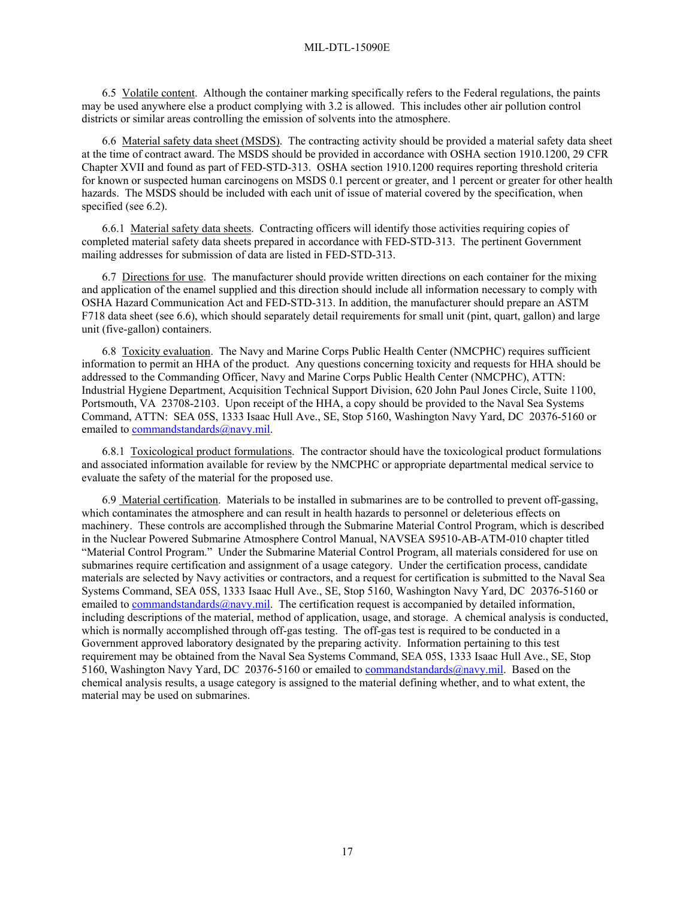6.5 Volatile content. Although the container marking specifically refers to the Federal regulations, the paints may be used anywhere else a product complying with [3.2](#page-3-2) is allowed. This includes other air pollution control districts or similar areas controlling the emission of solvents into the atmosphere.

<span id="page-16-2"></span>6.6 Material safety data sheet (MSDS). The contracting activity should be provided a material safety data sheet at the time of contract award. The MSDS should be provided in accordance with OSHA section 1910.1200, 29 CFR Chapter XVII and found as part of FED-STD-313. OSHA section 1910.1200 requires reporting threshold criteria for known or suspected human carcinogens on MSDS 0.1 percent or greater, and 1 percent or greater for other health hazards. The MSDS should be included with each unit of issue of material covered by the specification, when specified (see [6.2\)](#page-15-0).

6.6.1 Material safety data sheets. Contracting officers will identify those activities requiring copies of completed material safety data sheets prepared in accordance with FED-STD-313. The pertinent Government mailing addresses for submission of data are listed in FED-STD-313.

6.7 Directions for use. The manufacturer should provide written directions on each container for the mixing and application of the enamel supplied and this direction should include all information necessary to comply with OSHA Hazard Communication Act and FED-STD-313. In addition, the manufacturer should prepare an ASTM F718 data sheet (see [6.6](#page-16-2)), which should separately detail requirements for small unit (pint, quart, gallon) and large unit (five-gallon) containers.

<span id="page-16-0"></span>6.8 Toxicity evaluation. The Navy and Marine Corps Public Health Center (NMCPHC) requires sufficient information to permit an HHA of the product. Any questions concerning toxicity and requests for HHA should be addressed to the Commanding Officer, Navy and Marine Corps Public Health Center (NMCPHC), ATTN: Industrial Hygiene Department, Acquisition Technical Support Division, 620 John Paul Jones Circle, Suite 1100, Portsmouth, VA 23708-2103. Upon receipt of the HHA, a copy should be provided to the Naval Sea Systems Command, ATTN: SEA 05S, 1333 Isaac Hull Ave., SE, Stop 5160, Washington Navy Yard, DC 20376-5160 or emailed to [commandstandards@navy.mil](mailto:commandstandards@navy.mil).

6.8.1 Toxicological product formulations. The contractor should have the toxicological product formulations and associated information available for review by the NMCPHC or appropriate departmental medical service to evaluate the safety of the material for the proposed use.

<span id="page-16-1"></span>6.9 Material certification. Materials to be installed in submarines are to be controlled to prevent off-gassing, which contaminates the atmosphere and can result in health hazards to personnel or deleterious effects on machinery. These controls are accomplished through the Submarine Material Control Program, which is described in the Nuclear Powered Submarine Atmosphere Control Manual, NAVSEA S9510-AB-ATM-010 chapter titled "Material Control Program." Under the Submarine Material Control Program, all materials considered for use on submarines require certification and assignment of a usage category. Under the certification process, candidate materials are selected by Navy activities or contractors, and a request for certification is submitted to the Naval Sea Systems Command, SEA 05S, 1333 Isaac Hull Ave., SE, Stop 5160, Washington Navy Yard, DC 20376-5160 or emailed to [commandstandards@navy.mil](mailto:commandstandards@navy.mil). The certification request is accompanied by detailed information, including descriptions of the material, method of application, usage, and storage. A chemical analysis is conducted, which is normally accomplished through off-gas testing. The off-gas test is required to be conducted in a Government approved laboratory designated by the preparing activity. Information pertaining to this test requirement may be obtained from the Naval Sea Systems Command, SEA 05S, 1333 Isaac Hull Ave., SE, Stop 5160, Washington Navy Yard, DC 20376-5160 or emailed to [commandstandards@navy.mil.](mailto:commandstandards@navy.mil) Based on the chemical analysis results, a usage category is assigned to the material defining whether, and to what extent, the material may be used on submarines.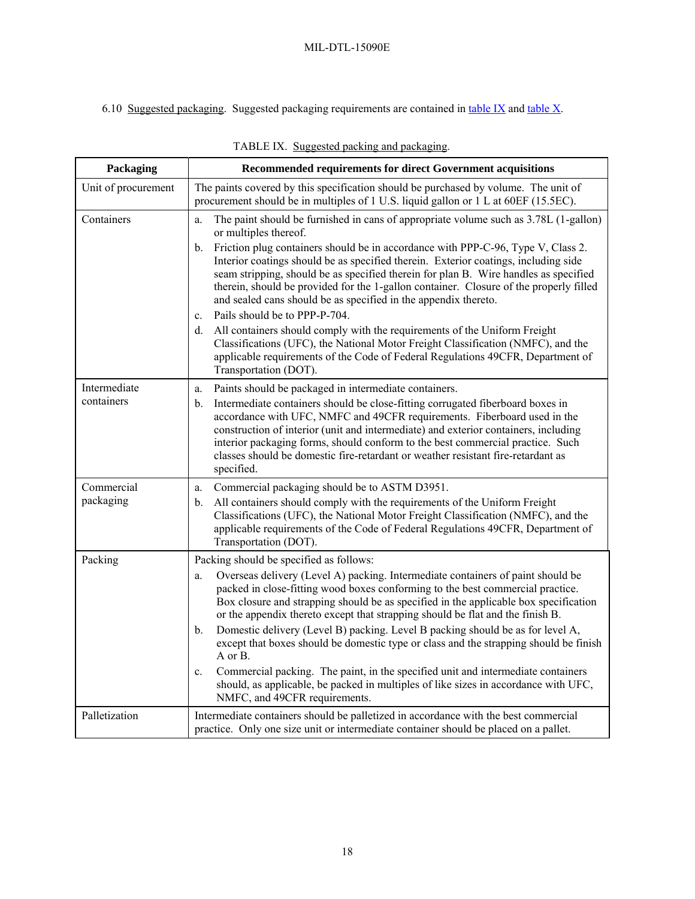<span id="page-17-0"></span>6.10 Suggested packaging. Suggested packaging requirements are contained in [table IX](#page-17-0) and [table X](#page-18-1).

| Packaging           | Recommended requirements for direct Government acquisitions                                                                                                                                                                                                                                                                                                                                                                                                                                       |
|---------------------|---------------------------------------------------------------------------------------------------------------------------------------------------------------------------------------------------------------------------------------------------------------------------------------------------------------------------------------------------------------------------------------------------------------------------------------------------------------------------------------------------|
| Unit of procurement | The paints covered by this specification should be purchased by volume. The unit of                                                                                                                                                                                                                                                                                                                                                                                                               |
|                     | procurement should be in multiples of 1 U.S. liquid gallon or 1 L at 60EF (15.5EC).                                                                                                                                                                                                                                                                                                                                                                                                               |
| Containers          | The paint should be furnished in cans of appropriate volume such as 3.78L (1-gallon)<br>a.<br>or multiples thereof.                                                                                                                                                                                                                                                                                                                                                                               |
|                     | Friction plug containers should be in accordance with PPP-C-96, Type V, Class 2.<br>$\mathbf{b}$ .<br>Interior coatings should be as specified therein. Exterior coatings, including side<br>seam stripping, should be as specified therein for plan B. Wire handles as specified<br>therein, should be provided for the 1-gallon container. Closure of the properly filled<br>and sealed cans should be as specified in the appendix thereto.<br>Pails should be to PPP-P-704.<br>$\mathbf{c}$ . |
|                     | All containers should comply with the requirements of the Uniform Freight<br>d.<br>Classifications (UFC), the National Motor Freight Classification (NMFC), and the<br>applicable requirements of the Code of Federal Regulations 49CFR, Department of<br>Transportation (DOT).                                                                                                                                                                                                                   |
| Intermediate        | Paints should be packaged in intermediate containers.<br>a.                                                                                                                                                                                                                                                                                                                                                                                                                                       |
| containers          | Intermediate containers should be close-fitting corrugated fiberboard boxes in<br>b.<br>accordance with UFC, NMFC and 49CFR requirements. Fiberboard used in the<br>construction of interior (unit and intermediate) and exterior containers, including<br>interior packaging forms, should conform to the best commercial practice. Such<br>classes should be domestic fire-retardant or weather resistant fire-retardant as<br>specified.                                                       |
| Commercial          | Commercial packaging should be to ASTM D3951.<br>a.                                                                                                                                                                                                                                                                                                                                                                                                                                               |
| packaging           | All containers should comply with the requirements of the Uniform Freight<br>b.<br>Classifications (UFC), the National Motor Freight Classification (NMFC), and the<br>applicable requirements of the Code of Federal Regulations 49CFR, Department of<br>Transportation (DOT).                                                                                                                                                                                                                   |
| Packing             | Packing should be specified as follows:                                                                                                                                                                                                                                                                                                                                                                                                                                                           |
|                     | Overseas delivery (Level A) packing. Intermediate containers of paint should be<br>a.<br>packed in close-fitting wood boxes conforming to the best commercial practice.<br>Box closure and strapping should be as specified in the applicable box specification<br>or the appendix thereto except that strapping should be flat and the finish B.                                                                                                                                                 |
|                     | Domestic delivery (Level B) packing. Level B packing should be as for level A,<br>b.<br>except that boxes should be domestic type or class and the strapping should be finish<br>A or B.                                                                                                                                                                                                                                                                                                          |
|                     | Commercial packing. The paint, in the specified unit and intermediate containers<br>$\mathbf{c}$ .<br>should, as applicable, be packed in multiples of like sizes in accordance with UFC,<br>NMFC, and 49CFR requirements.                                                                                                                                                                                                                                                                        |
| Palletization       | Intermediate containers should be palletized in accordance with the best commercial<br>practice. Only one size unit or intermediate container should be placed on a pallet.                                                                                                                                                                                                                                                                                                                       |

TABLE IX. Suggested packing and packaging.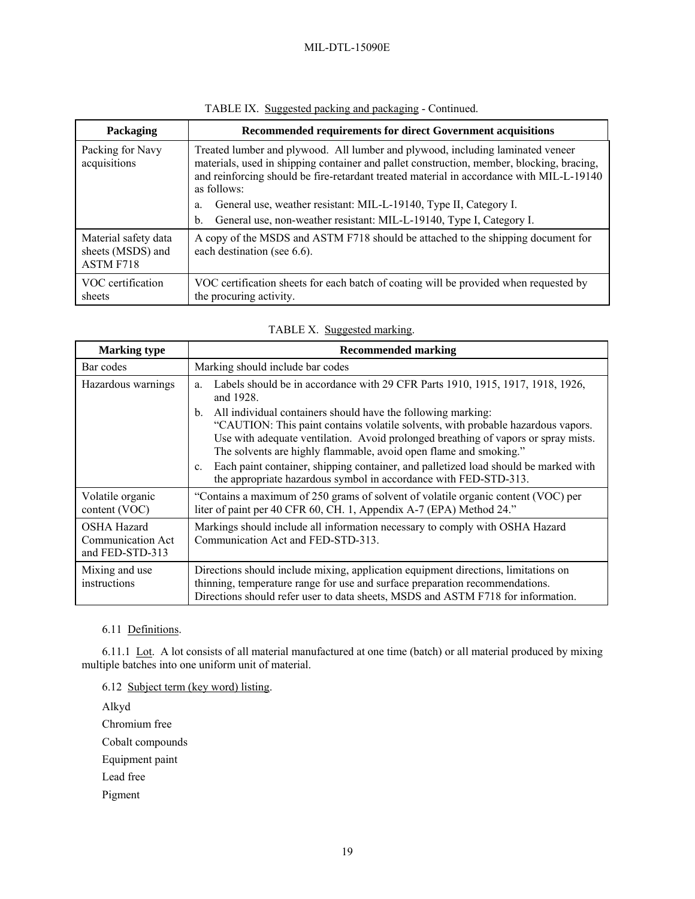<span id="page-18-1"></span>

| Packaging                                              | Recommended requirements for direct Government acquisitions                                                                                                                                                                                                                            |
|--------------------------------------------------------|----------------------------------------------------------------------------------------------------------------------------------------------------------------------------------------------------------------------------------------------------------------------------------------|
| Packing for Navy<br>acquisitions                       | Treated lumber and plywood. All lumber and plywood, including laminated veneer<br>materials, used in shipping container and pallet construction, member, blocking, bracing,<br>and reinforcing should be fire-retardant treated material in accordance with MIL-L-19140<br>as follows: |
|                                                        | General use, weather resistant: MIL-L-19140, Type II, Category I.<br>a.<br>General use, non-weather resistant: MIL-L-19140, Type I, Category I.<br>$b_{\cdot}$                                                                                                                         |
| Material safety data<br>sheets (MSDS) and<br>ASTM F718 | A copy of the MSDS and ASTM F718 should be attached to the shipping document for<br>each destination (see 6.6).                                                                                                                                                                        |
| VOC certification<br>sheets                            | VOC certification sheets for each batch of coating will be provided when requested by<br>the procuring activity.                                                                                                                                                                       |

# TABLE IX. Suggested packing and packaging - Continued.

| TABLE X. Suggested marking. |
|-----------------------------|
|-----------------------------|

| <b>Marking type</b>                                        | <b>Recommended marking</b>                                                                                                                                                                                                                                                                                        |
|------------------------------------------------------------|-------------------------------------------------------------------------------------------------------------------------------------------------------------------------------------------------------------------------------------------------------------------------------------------------------------------|
| Bar codes                                                  | Marking should include bar codes                                                                                                                                                                                                                                                                                  |
| Hazardous warnings                                         | Labels should be in accordance with 29 CFR Parts 1910, 1915, 1917, 1918, 1926,<br>a.<br>and 1928.                                                                                                                                                                                                                 |
|                                                            | All individual containers should have the following marking:<br>b.<br>"CAUTION: This paint contains volatile solvents, with probable hazardous vapors.<br>Use with adequate ventilation. Avoid prolonged breathing of vapors or spray mists.<br>The solvents are highly flammable, avoid open flame and smoking." |
|                                                            | Each paint container, shipping container, and palletized load should be marked with<br>$\mathbf{c}$ .<br>the appropriate hazardous symbol in accordance with FED-STD-313.                                                                                                                                         |
| Volatile organic<br>content (VOC)                          | "Contains a maximum of 250 grams of solvent of volatile organic content (VOC) per<br>liter of paint per 40 CFR 60, CH. 1, Appendix A-7 (EPA) Method 24."                                                                                                                                                          |
| <b>OSHA Hazard</b><br>Communication Act<br>and FED-STD-313 | Markings should include all information necessary to comply with OSHA Hazard<br>Communication Act and FED-STD-313.                                                                                                                                                                                                |
| Mixing and use<br>instructions                             | Directions should include mixing, application equipment directions, limitations on<br>thinning, temperature range for use and surface preparation recommendations.<br>Directions should refer user to data sheets, MSDS and ASTM F718 for information.                                                            |

6.11 Definitions.

<span id="page-18-0"></span>6.11.1 Lot. A lot consists of all material manufactured at one time (batch) or all material produced by mixing multiple batches into one uniform unit of material.

6.12 Subject term (key word) listing.

Alkyd

Chromium free

Cobalt compounds

Equipment paint

Lead free

Pigment